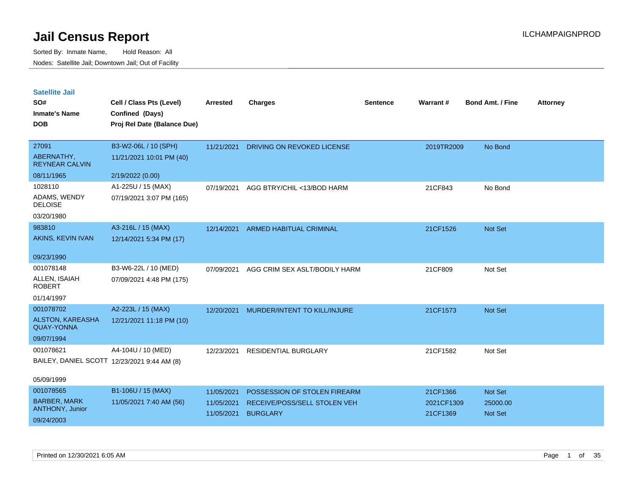| <b>Satellite Jail</b> |  |
|-----------------------|--|
|                       |  |

| SO#<br><b>Inmate's Name</b>                  | Cell / Class Pts (Level)<br>Confined (Days) | Arrested   | <b>Charges</b>                 | <b>Sentence</b> | Warrant#   | <b>Bond Amt. / Fine</b> | <b>Attorney</b> |
|----------------------------------------------|---------------------------------------------|------------|--------------------------------|-----------------|------------|-------------------------|-----------------|
| <b>DOB</b>                                   | Proj Rel Date (Balance Due)                 |            |                                |                 |            |                         |                 |
| 27091                                        | B3-W2-06L / 10 (SPH)                        | 11/21/2021 | DRIVING ON REVOKED LICENSE     |                 | 2019TR2009 | No Bond                 |                 |
| ABERNATHY,<br><b>REYNEAR CALVIN</b>          | 11/21/2021 10:01 PM (40)                    |            |                                |                 |            |                         |                 |
| 08/11/1965                                   | 2/19/2022 (0.00)                            |            |                                |                 |            |                         |                 |
| 1028110                                      | A1-225U / 15 (MAX)                          | 07/19/2021 | AGG BTRY/CHIL <13/BOD HARM     |                 | 21CF843    | No Bond                 |                 |
| ADAMS, WENDY<br><b>DELOISE</b>               | 07/19/2021 3:07 PM (165)                    |            |                                |                 |            |                         |                 |
| 03/20/1980                                   |                                             |            |                                |                 |            |                         |                 |
| 983810                                       | A3-216L / 15 (MAX)                          | 12/14/2021 | <b>ARMED HABITUAL CRIMINAL</b> |                 | 21CF1526   | Not Set                 |                 |
| AKINS, KEVIN IVAN                            | 12/14/2021 5:34 PM (17)                     |            |                                |                 |            |                         |                 |
| 09/23/1990                                   |                                             |            |                                |                 |            |                         |                 |
| 001078148                                    | B3-W6-22L / 10 (MED)                        | 07/09/2021 | AGG CRIM SEX ASLT/BODILY HARM  |                 | 21CF809    | Not Set                 |                 |
| ALLEN, ISAIAH<br><b>ROBERT</b>               | 07/09/2021 4:48 PM (175)                    |            |                                |                 |            |                         |                 |
| 01/14/1997                                   |                                             |            |                                |                 |            |                         |                 |
| 001078702                                    | A2-223L / 15 (MAX)                          | 12/20/2021 | MURDER/INTENT TO KILL/INJURE   |                 | 21CF1573   | Not Set                 |                 |
| <b>ALSTON, KAREASHA</b><br><b>QUAY-YONNA</b> | 12/21/2021 11:18 PM (10)                    |            |                                |                 |            |                         |                 |
| 09/07/1994                                   |                                             |            |                                |                 |            |                         |                 |
| 001078621                                    | A4-104U / 10 (MED)                          | 12/23/2021 | RESIDENTIAL BURGLARY           |                 | 21CF1582   | Not Set                 |                 |
|                                              | BAILEY, DANIEL SCOTT 12/23/2021 9:44 AM (8) |            |                                |                 |            |                         |                 |
| 05/09/1999                                   |                                             |            |                                |                 |            |                         |                 |
| 001078565                                    | B1-106U / 15 (MAX)                          | 11/05/2021 | POSSESSION OF STOLEN FIREARM   |                 | 21CF1366   | Not Set                 |                 |
| <b>BARBER, MARK</b>                          | 11/05/2021 7:40 AM (56)                     | 11/05/2021 | RECEIVE/POSS/SELL STOLEN VEH   |                 | 2021CF1309 | 25000.00                |                 |
| ANTHONY, Junior                              |                                             | 11/05/2021 | <b>BURGLARY</b>                |                 | 21CF1369   | <b>Not Set</b>          |                 |
| 09/24/2003                                   |                                             |            |                                |                 |            |                         |                 |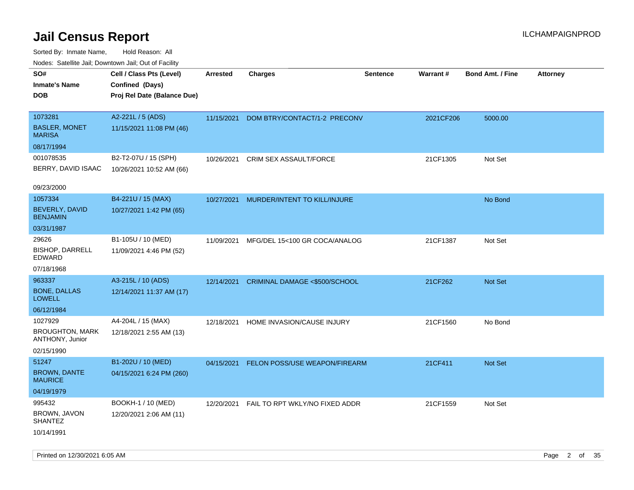Sorted By: Inmate Name, Hold Reason: All Nodes: Satellite Jail; Downtown Jail; Out of Facility

| Nudes. Satellite Jali, Downtown Jali, Out of Facility |                             |                 |                                |                 |           |                         |                 |
|-------------------------------------------------------|-----------------------------|-----------------|--------------------------------|-----------------|-----------|-------------------------|-----------------|
| SO#                                                   | Cell / Class Pts (Level)    | <b>Arrested</b> | <b>Charges</b>                 | <b>Sentence</b> | Warrant#  | <b>Bond Amt. / Fine</b> | <b>Attorney</b> |
| Inmate's Name                                         | Confined (Days)             |                 |                                |                 |           |                         |                 |
| <b>DOB</b>                                            | Proj Rel Date (Balance Due) |                 |                                |                 |           |                         |                 |
|                                                       |                             |                 |                                |                 |           |                         |                 |
| 1073281                                               | A2-221L / 5 (ADS)           | 11/15/2021      | DOM BTRY/CONTACT/1-2 PRECONV   |                 | 2021CF206 | 5000.00                 |                 |
| <b>BASLER, MONET</b><br>MARISA                        | 11/15/2021 11:08 PM (46)    |                 |                                |                 |           |                         |                 |
| 08/17/1994                                            |                             |                 |                                |                 |           |                         |                 |
| 001078535                                             | B2-T2-07U / 15 (SPH)        | 10/26/2021      | <b>CRIM SEX ASSAULT/FORCE</b>  |                 | 21CF1305  | Not Set                 |                 |
| BERRY, DAVID ISAAC                                    | 10/26/2021 10:52 AM (66)    |                 |                                |                 |           |                         |                 |
|                                                       |                             |                 |                                |                 |           |                         |                 |
| 09/23/2000                                            |                             |                 |                                |                 |           |                         |                 |
| 1057334                                               | B4-221U / 15 (MAX)          | 10/27/2021      | MURDER/INTENT TO KILL/INJURE   |                 |           | No Bond                 |                 |
| <b>BEVERLY, DAVID</b><br><b>BENJAMIN</b>              | 10/27/2021 1:42 PM (65)     |                 |                                |                 |           |                         |                 |
| 03/31/1987                                            |                             |                 |                                |                 |           |                         |                 |
| 29626                                                 | B1-105U / 10 (MED)          | 11/09/2021      | MFG/DEL 15<100 GR COCA/ANALOG  |                 | 21CF1387  | Not Set                 |                 |
| <b>BISHOP, DARRELL</b><br>EDWARD                      | 11/09/2021 4:46 PM (52)     |                 |                                |                 |           |                         |                 |
| 07/18/1968                                            |                             |                 |                                |                 |           |                         |                 |
| 963337                                                | A3-215L / 10 (ADS)          | 12/14/2021      | CRIMINAL DAMAGE <\$500/SCHOOL  |                 | 21CF262   | <b>Not Set</b>          |                 |
| <b>BONE, DALLAS</b><br>LOWELL                         | 12/14/2021 11:37 AM (17)    |                 |                                |                 |           |                         |                 |
| 06/12/1984                                            |                             |                 |                                |                 |           |                         |                 |
| 1027929                                               | A4-204L / 15 (MAX)          | 12/18/2021      | HOME INVASION/CAUSE INJURY     |                 | 21CF1560  | No Bond                 |                 |
| <b>BROUGHTON, MARK</b><br>ANTHONY, Junior             | 12/18/2021 2:55 AM (13)     |                 |                                |                 |           |                         |                 |
| 02/15/1990                                            |                             |                 |                                |                 |           |                         |                 |
| 51247                                                 | B1-202U / 10 (MED)          | 04/15/2021      | FELON POSS/USE WEAPON/FIREARM  |                 | 21CF411   | Not Set                 |                 |
| <b>BROWN, DANTE</b><br>MAURICE                        | 04/15/2021 6:24 PM (260)    |                 |                                |                 |           |                         |                 |
| 04/19/1979                                            |                             |                 |                                |                 |           |                         |                 |
| 995432                                                | BOOKH-1 / 10 (MED)          | 12/20/2021      | FAIL TO RPT WKLY/NO FIXED ADDR |                 | 21CF1559  | Not Set                 |                 |
| BROWN, JAVON<br>SHANTEZ                               | 12/20/2021 2:06 AM (11)     |                 |                                |                 |           |                         |                 |
| 10/14/1991                                            |                             |                 |                                |                 |           |                         |                 |

Printed on 12/30/2021 6:05 AM Page 2 of 35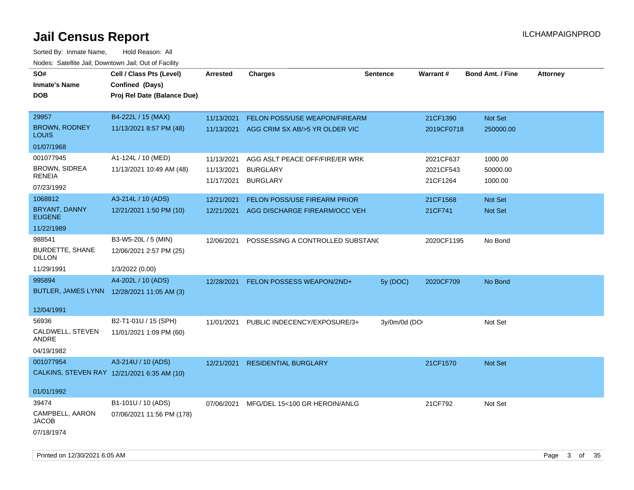| SO#<br><b>Inmate's Name</b><br><b>DOB</b>   | Cell / Class Pts (Level)<br>Confined (Days)<br>Proj Rel Date (Balance Due) | <b>Arrested</b> | <b>Charges</b>                   | <b>Sentence</b> | Warrant#   | <b>Bond Amt. / Fine</b> | <b>Attorney</b> |
|---------------------------------------------|----------------------------------------------------------------------------|-----------------|----------------------------------|-----------------|------------|-------------------------|-----------------|
| 29957                                       | B4-222L / 15 (MAX)                                                         | 11/13/2021      | FELON POSS/USE WEAPON/FIREARM    |                 | 21CF1390   | Not Set                 |                 |
| <b>BROWN, RODNEY</b><br>LOUIS               | 11/13/2021 8:57 PM (48)                                                    | 11/13/2021      | AGG CRIM SX AB/>5 YR OLDER VIC   |                 | 2019CF0718 | 250000.00               |                 |
| 01/07/1968                                  |                                                                            |                 |                                  |                 |            |                         |                 |
| 001077945                                   | A1-124L / 10 (MED)                                                         | 11/13/2021      | AGG ASLT PEACE OFF/FIRE/ER WRK   |                 | 2021CF637  | 1000.00                 |                 |
| <b>BROWN, SIDREA</b>                        | 11/13/2021 10:49 AM (48)                                                   | 11/13/2021      | <b>BURGLARY</b>                  |                 | 2021CF543  | 50000.00                |                 |
| RENEIA<br>07/23/1992                        |                                                                            | 11/17/2021      | <b>BURGLARY</b>                  |                 | 21CF1264   | 1000.00                 |                 |
| 1068812                                     | A3-214L / 10 (ADS)                                                         | 12/21/2021      | FELON POSS/USE FIREARM PRIOR     |                 | 21CF1568   | Not Set                 |                 |
| BRYANT, DANNY<br><b>EUGENE</b>              | 12/21/2021 1:50 PM (10)                                                    | 12/21/2021      | AGG DISCHARGE FIREARM/OCC VEH    |                 | 21CF741    | Not Set                 |                 |
| 11/22/1989                                  |                                                                            |                 |                                  |                 |            |                         |                 |
| 988541                                      | B3-W5-20L / 5 (MIN)                                                        | 12/06/2021      | POSSESSING A CONTROLLED SUBSTANC |                 | 2020CF1195 | No Bond                 |                 |
| <b>BURDETTE, SHANE</b><br>DILLON            | 12/06/2021 2:57 PM (25)                                                    |                 |                                  |                 |            |                         |                 |
| 11/29/1991                                  | 1/3/2022 (0.00)                                                            |                 |                                  |                 |            |                         |                 |
| 995894                                      | A4-202L / 10 (ADS)                                                         | 12/28/2021      | FELON POSSESS WEAPON/2ND+        | 5y (DOC)        | 2020CF709  | No Bond                 |                 |
| BUTLER, JAMES LYNN 12/28/2021 11:05 AM (3)  |                                                                            |                 |                                  |                 |            |                         |                 |
| 12/04/1991                                  |                                                                            |                 |                                  |                 |            |                         |                 |
| 56936                                       | B2-T1-01U / 15 (SPH)                                                       | 11/01/2021      | PUBLIC INDECENCY/EXPOSURE/3+     | 3y/0m/0d (DO    |            | Not Set                 |                 |
| CALDWELL, STEVEN<br>ANDRE                   | 11/01/2021 1:09 PM (60)                                                    |                 |                                  |                 |            |                         |                 |
| 04/19/1982                                  |                                                                            |                 |                                  |                 |            |                         |                 |
| 001077954                                   | A3-214U / 10 (ADS)                                                         | 12/21/2021      | <b>RESIDENTIAL BURGLARY</b>      |                 | 21CF1570   | Not Set                 |                 |
| CALKINS, STEVEN RAY 12/21/2021 6:35 AM (10) |                                                                            |                 |                                  |                 |            |                         |                 |
| 01/01/1992                                  |                                                                            |                 |                                  |                 |            |                         |                 |
| 39474                                       | B1-101U / 10 (ADS)                                                         | 07/06/2021      | MFG/DEL 15<100 GR HEROIN/ANLG    |                 | 21CF792    | Not Set                 |                 |
| CAMPBELL, AARON<br><b>JACOB</b>             | 07/06/2021 11:56 PM (178)                                                  |                 |                                  |                 |            |                         |                 |
| 07/18/1974                                  |                                                                            |                 |                                  |                 |            |                         |                 |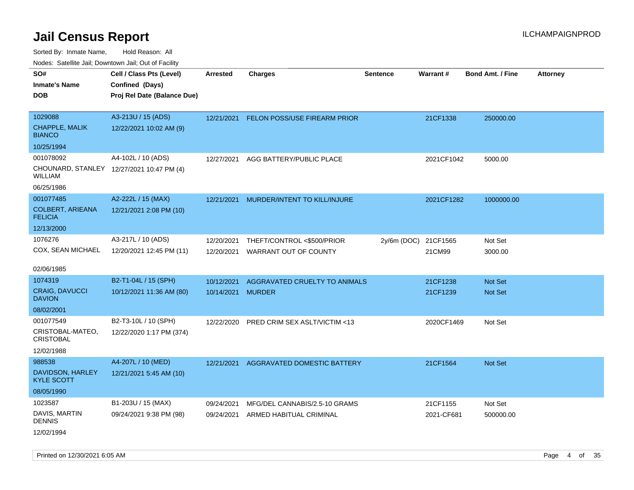|                                                                 | Todoo. Catolino can, Bottittottii can, Odt on Taoliit,                     |                          |                                                     |                 |                      |                           |                 |
|-----------------------------------------------------------------|----------------------------------------------------------------------------|--------------------------|-----------------------------------------------------|-----------------|----------------------|---------------------------|-----------------|
| SO#<br><b>Inmate's Name</b><br>DOB                              | Cell / Class Pts (Level)<br>Confined (Days)<br>Proj Rel Date (Balance Due) | <b>Arrested</b>          | <b>Charges</b>                                      | <b>Sentence</b> | Warrant#             | <b>Bond Amt. / Fine</b>   | <b>Attorney</b> |
| 1029088<br><b>CHAPPLE, MALIK</b><br><b>BIANCO</b>               | A3-213U / 15 (ADS)<br>12/22/2021 10:02 AM (9)                              |                          | 12/21/2021 FELON POSS/USE FIREARM PRIOR             |                 | 21CF1338             | 250000.00                 |                 |
| 10/25/1994                                                      |                                                                            |                          |                                                     |                 |                      |                           |                 |
| 001078092<br>WILLIAM                                            | A4-102L / 10 (ADS)<br>CHOUNARD, STANLEY 12/27/2021 10:47 PM (4)            | 12/27/2021               | AGG BATTERY/PUBLIC PLACE                            |                 | 2021CF1042           | 5000.00                   |                 |
| 06/25/1986                                                      |                                                                            |                          |                                                     |                 |                      |                           |                 |
| 001077485<br><b>COLBERT, ARIEANA</b><br><b>FELICIA</b>          | A2-222L / 15 (MAX)<br>12/21/2021 2:08 PM (10)                              | 12/21/2021               | MURDER/INTENT TO KILL/INJURE                        |                 | 2021CF1282           | 1000000.00                |                 |
| 12/13/2000                                                      |                                                                            |                          |                                                     |                 |                      |                           |                 |
| 1076276<br>COX, SEAN MICHAEL                                    | A3-217L / 10 (ADS)<br>12/20/2021 12:45 PM (11)                             | 12/20/2021<br>12/20/2021 | THEFT/CONTROL <\$500/PRIOR<br>WARRANT OUT OF COUNTY | $2y/6m$ (DOC)   | 21CF1565<br>21CM99   | Not Set<br>3000.00        |                 |
| 02/06/1985                                                      |                                                                            |                          |                                                     |                 |                      |                           |                 |
| 1074319<br>CRAIG, DAVUCCI<br><b>DAVION</b><br>08/02/2001        | B2-T1-04L / 15 (SPH)<br>10/12/2021 11:36 AM (80)                           | 10/12/2021<br>10/14/2021 | AGGRAVATED CRUELTY TO ANIMALS<br><b>MURDER</b>      |                 | 21CF1238<br>21CF1239 | <b>Not Set</b><br>Not Set |                 |
| 001077549<br>CRISTOBAL-MATEO,<br><b>CRISTOBAL</b><br>12/02/1988 | B2-T3-10L / 10 (SPH)<br>12/22/2020 1:17 PM (374)                           | 12/22/2020               | PRED CRIM SEX ASLT/VICTIM <13                       |                 | 2020CF1469           | Not Set                   |                 |
| 988538<br>DAVIDSON, HARLEY<br><b>KYLE SCOTT</b><br>08/05/1990   | A4-207L / 10 (MED)<br>12/21/2021 5:45 AM (10)                              | 12/21/2021               | <b>AGGRAVATED DOMESTIC BATTERY</b>                  |                 | 21CF1564             | <b>Not Set</b>            |                 |
| 1023587                                                         | B1-203U / 15 (MAX)                                                         | 09/24/2021               | MFG/DEL CANNABIS/2.5-10 GRAMS                       |                 | 21CF1155             | Not Set                   |                 |
| DAVIS, MARTIN<br>DENNIS<br>12/02/1994                           | 09/24/2021 9:38 PM (98)                                                    | 09/24/2021               | ARMED HABITUAL CRIMINAL                             |                 | 2021-CF681           | 500000.00                 |                 |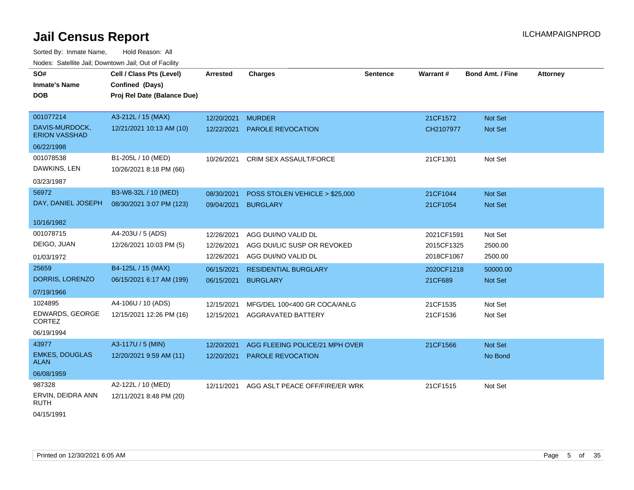| <u>Houcs.</u> Oatchite Jail, Downtown Jail, Out of Facility |                             |                   |                                |                 |            |                         |                 |
|-------------------------------------------------------------|-----------------------------|-------------------|--------------------------------|-----------------|------------|-------------------------|-----------------|
| SO#                                                         | Cell / Class Pts (Level)    | <b>Arrested</b>   | <b>Charges</b>                 | <b>Sentence</b> | Warrant#   | <b>Bond Amt. / Fine</b> | <b>Attorney</b> |
| <b>Inmate's Name</b>                                        | Confined (Days)             |                   |                                |                 |            |                         |                 |
| <b>DOB</b>                                                  | Proj Rel Date (Balance Due) |                   |                                |                 |            |                         |                 |
|                                                             |                             |                   |                                |                 |            |                         |                 |
| 001077214                                                   | A3-212L / 15 (MAX)          | 12/20/2021 MURDER |                                |                 | 21CF1572   | <b>Not Set</b>          |                 |
| DAVIS-MURDOCK,<br><b>ERION VASSHAD</b>                      | 12/21/2021 10:13 AM (10)    | 12/22/2021        | <b>PAROLE REVOCATION</b>       |                 | CH2107977  | Not Set                 |                 |
| 06/22/1998                                                  |                             |                   |                                |                 |            |                         |                 |
| 001078538                                                   | B1-205L / 10 (MED)          | 10/26/2021        | CRIM SEX ASSAULT/FORCE         |                 | 21CF1301   | Not Set                 |                 |
| DAWKINS, LEN                                                | 10/26/2021 8:18 PM (66)     |                   |                                |                 |            |                         |                 |
| 03/23/1987                                                  |                             |                   |                                |                 |            |                         |                 |
| 56972                                                       | B3-W8-32L / 10 (MED)        | 08/30/2021        | POSS STOLEN VEHICLE > \$25,000 |                 | 21CF1044   | Not Set                 |                 |
| DAY, DANIEL JOSEPH                                          | 08/30/2021 3:07 PM (123)    | 09/04/2021        | <b>BURGLARY</b>                |                 | 21CF1054   | Not Set                 |                 |
|                                                             |                             |                   |                                |                 |            |                         |                 |
| 10/16/1982                                                  |                             |                   |                                |                 |            |                         |                 |
| 001078715                                                   | A4-203U / 5 (ADS)           | 12/26/2021        | AGG DUI/NO VALID DL            |                 | 2021CF1591 | Not Set                 |                 |
| DEIGO, JUAN                                                 | 12/26/2021 10:03 PM (5)     | 12/26/2021        | AGG DUI/LIC SUSP OR REVOKED    |                 | 2015CF1325 | 2500.00                 |                 |
| 01/03/1972                                                  |                             | 12/26/2021        | AGG DUI/NO VALID DL            |                 | 2018CF1067 | 2500.00                 |                 |
| 25659                                                       | B4-125L / 15 (MAX)          | 06/15/2021        | <b>RESIDENTIAL BURGLARY</b>    |                 | 2020CF1218 | 50000.00                |                 |
| DORRIS, LORENZO                                             | 06/15/2021 6:17 AM (199)    | 06/15/2021        | <b>BURGLARY</b>                |                 | 21CF689    | Not Set                 |                 |
| 07/19/1966                                                  |                             |                   |                                |                 |            |                         |                 |
| 1024895                                                     | A4-106U / 10 (ADS)          | 12/15/2021        | MFG/DEL 100<400 GR COCA/ANLG   |                 | 21CF1535   | Not Set                 |                 |
| EDWARDS, GEORGE<br><b>CORTEZ</b>                            | 12/15/2021 12:26 PM (16)    | 12/15/2021        | AGGRAVATED BATTERY             |                 | 21CF1536   | Not Set                 |                 |
| 06/19/1994                                                  |                             |                   |                                |                 |            |                         |                 |
| 43977                                                       | A3-117U / 5 (MIN)           | 12/20/2021        | AGG FLEEING POLICE/21 MPH OVER |                 | 21CF1566   | <b>Not Set</b>          |                 |
| <b>EMKES, DOUGLAS</b><br><b>ALAN</b>                        | 12/20/2021 9:59 AM (11)     | 12/20/2021        | PAROLE REVOCATION              |                 |            | No Bond                 |                 |
| 06/08/1959                                                  |                             |                   |                                |                 |            |                         |                 |
| 987328                                                      | A2-122L / 10 (MED)          | 12/11/2021        | AGG ASLT PEACE OFF/FIRE/ER WRK |                 | 21CF1515   | Not Set                 |                 |
| ERVIN, DEIDRA ANN<br><b>RUTH</b>                            | 12/11/2021 8:48 PM (20)     |                   |                                |                 |            |                         |                 |
| 04/15/1991                                                  |                             |                   |                                |                 |            |                         |                 |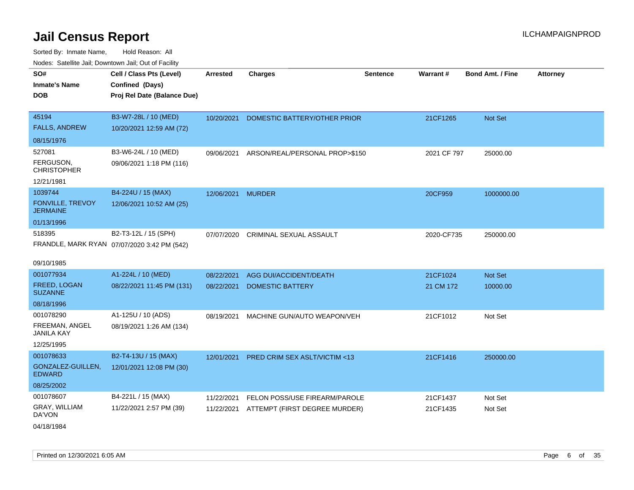| noaco. Catomto can, Domntonn can, Cat or I domt |                                                                            |                 |                                |                 |             |                         |                 |
|-------------------------------------------------|----------------------------------------------------------------------------|-----------------|--------------------------------|-----------------|-------------|-------------------------|-----------------|
| SO#<br><b>Inmate's Name</b><br><b>DOB</b>       | Cell / Class Pts (Level)<br>Confined (Days)<br>Proj Rel Date (Balance Due) | <b>Arrested</b> | <b>Charges</b>                 | <b>Sentence</b> | Warrant#    | <b>Bond Amt. / Fine</b> | <b>Attorney</b> |
| 45194<br><b>FALLS, ANDREW</b>                   | B3-W7-28L / 10 (MED)<br>10/20/2021 12:59 AM (72)                           | 10/20/2021      | DOMESTIC BATTERY/OTHER PRIOR   |                 | 21CF1265    | Not Set                 |                 |
| 08/15/1976                                      |                                                                            |                 |                                |                 |             |                         |                 |
| 527081                                          | B3-W6-24L / 10 (MED)                                                       | 09/06/2021      | ARSON/REAL/PERSONAL PROP>\$150 |                 | 2021 CF 797 | 25000.00                |                 |
| FERGUSON,<br><b>CHRISTOPHER</b>                 | 09/06/2021 1:18 PM (116)                                                   |                 |                                |                 |             |                         |                 |
| 12/21/1981                                      |                                                                            |                 |                                |                 |             |                         |                 |
| 1039744                                         | B4-224U / 15 (MAX)                                                         | 12/06/2021      | <b>MURDER</b>                  |                 | 20CF959     | 1000000.00              |                 |
| FONVILLE, TREVOY<br><b>JERMAINE</b>             | 12/06/2021 10:52 AM (25)                                                   |                 |                                |                 |             |                         |                 |
| 01/13/1996                                      |                                                                            |                 |                                |                 |             |                         |                 |
| 518395                                          | B2-T3-12L / 15 (SPH)                                                       | 07/07/2020      | <b>CRIMINAL SEXUAL ASSAULT</b> |                 | 2020-CF735  | 250000.00               |                 |
|                                                 | FRANDLE, MARK RYAN 07/07/2020 3:42 PM (542)                                |                 |                                |                 |             |                         |                 |
| 09/10/1985                                      |                                                                            |                 |                                |                 |             |                         |                 |
| 001077934                                       | A1-224L / 10 (MED)                                                         | 08/22/2021      | AGG DUI/ACCIDENT/DEATH         |                 | 21CF1024    | Not Set                 |                 |
| FREED, LOGAN<br><b>SUZANNE</b>                  | 08/22/2021 11:45 PM (131)                                                  | 08/22/2021      | <b>DOMESTIC BATTERY</b>        |                 | 21 CM 172   | 10000.00                |                 |
| 08/18/1996                                      |                                                                            |                 |                                |                 |             |                         |                 |
| 001078290                                       | A1-125U / 10 (ADS)                                                         | 08/19/2021      | MACHINE GUN/AUTO WEAPON/VEH    |                 | 21CF1012    | Not Set                 |                 |
| FREEMAN, ANGEL<br><b>JANILA KAY</b>             | 08/19/2021 1:26 AM (134)                                                   |                 |                                |                 |             |                         |                 |
| 12/25/1995                                      |                                                                            |                 |                                |                 |             |                         |                 |
| 001078633                                       | B2-T4-13U / 15 (MAX)                                                       | 12/01/2021      | PRED CRIM SEX ASLT/VICTIM <13  |                 | 21CF1416    | 250000.00               |                 |
| GONZALEZ-GUILLEN,<br><b>EDWARD</b>              | 12/01/2021 12:08 PM (30)                                                   |                 |                                |                 |             |                         |                 |
| 08/25/2002                                      |                                                                            |                 |                                |                 |             |                         |                 |
| 001078607                                       | B4-221L / 15 (MAX)                                                         | 11/22/2021      | FELON POSS/USE FIREARM/PAROLE  |                 | 21CF1437    | Not Set                 |                 |
| <b>GRAY, WILLIAM</b><br>DA'VON                  | 11/22/2021 2:57 PM (39)                                                    | 11/22/2021      | ATTEMPT (FIRST DEGREE MURDER)  |                 | 21CF1435    | Not Set                 |                 |
| 04/18/1984                                      |                                                                            |                 |                                |                 |             |                         |                 |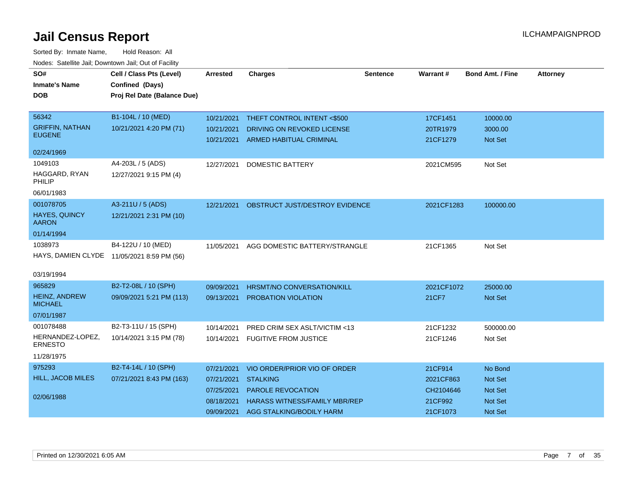| SO#                                     | Cell / Class Pts (Level)                   | <b>Arrested</b> | <b>Charges</b>                            | <b>Sentence</b> | <b>Warrant#</b> | <b>Bond Amt. / Fine</b> | <b>Attorney</b> |
|-----------------------------------------|--------------------------------------------|-----------------|-------------------------------------------|-----------------|-----------------|-------------------------|-----------------|
| <b>Inmate's Name</b>                    | <b>Confined (Days)</b>                     |                 |                                           |                 |                 |                         |                 |
| <b>DOB</b>                              | Proj Rel Date (Balance Due)                |                 |                                           |                 |                 |                         |                 |
|                                         |                                            |                 |                                           |                 |                 |                         |                 |
| 56342                                   | B1-104L / 10 (MED)                         | 10/21/2021      | THEFT CONTROL INTENT <\$500               |                 | 17CF1451        | 10000.00                |                 |
| <b>GRIFFIN, NATHAN</b><br><b>EUGENE</b> | 10/21/2021 4:20 PM (71)                    | 10/21/2021      | DRIVING ON REVOKED LICENSE                |                 | 20TR1979        | 3000.00                 |                 |
|                                         |                                            | 10/21/2021      | ARMED HABITUAL CRIMINAL                   |                 | 21CF1279        | Not Set                 |                 |
| 02/24/1969                              |                                            |                 |                                           |                 |                 |                         |                 |
| 1049103                                 | A4-203L / 5 (ADS)                          | 12/27/2021      | <b>DOMESTIC BATTERY</b>                   |                 | 2021CM595       | Not Set                 |                 |
| HAGGARD, RYAN<br>PHILIP                 | 12/27/2021 9:15 PM (4)                     |                 |                                           |                 |                 |                         |                 |
| 06/01/1983                              |                                            |                 |                                           |                 |                 |                         |                 |
| 001078705                               | A3-211U / 5 (ADS)                          |                 | 12/21/2021 OBSTRUCT JUST/DESTROY EVIDENCE |                 | 2021CF1283      | 100000.00               |                 |
| <b>HAYES, QUINCY</b><br><b>AARON</b>    | 12/21/2021 2:31 PM (10)                    |                 |                                           |                 |                 |                         |                 |
| 01/14/1994                              |                                            |                 |                                           |                 |                 |                         |                 |
| 1038973                                 | B4-122U / 10 (MED)                         | 11/05/2021      | AGG DOMESTIC BATTERY/STRANGLE             |                 | 21CF1365        | Not Set                 |                 |
|                                         | HAYS, DAMIEN CLYDE 11/05/2021 8:59 PM (56) |                 |                                           |                 |                 |                         |                 |
|                                         |                                            |                 |                                           |                 |                 |                         |                 |
| 03/19/1994                              |                                            |                 |                                           |                 |                 |                         |                 |
| 965829                                  | B2-T2-08L / 10 (SPH)                       | 09/09/2021      | <b>HRSMT/NO CONVERSATION/KILL</b>         |                 | 2021CF1072      | 25000.00                |                 |
| HEINZ, ANDREW<br><b>MICHAEL</b>         | 09/09/2021 5:21 PM (113)                   | 09/13/2021      | PROBATION VIOLATION                       |                 | 21CF7           | Not Set                 |                 |
| 07/01/1987                              |                                            |                 |                                           |                 |                 |                         |                 |
| 001078488                               | B2-T3-11U / 15 (SPH)                       | 10/14/2021      | PRED CRIM SEX ASLT/VICTIM <13             |                 | 21CF1232        | 500000.00               |                 |
| HERNANDEZ-LOPEZ,<br><b>ERNESTO</b>      | 10/14/2021 3:15 PM (78)                    | 10/14/2021      | <b>FUGITIVE FROM JUSTICE</b>              |                 | 21CF1246        | Not Set                 |                 |
| 11/28/1975                              |                                            |                 |                                           |                 |                 |                         |                 |
| 975293                                  | B2-T4-14L / 10 (SPH)                       | 07/21/2021      | VIO ORDER/PRIOR VIO OF ORDER              |                 | 21CF914         | No Bond                 |                 |
| <b>HILL, JACOB MILES</b>                | 07/21/2021 8:43 PM (163)                   | 07/21/2021      | <b>STALKING</b>                           |                 | 2021CF863       | <b>Not Set</b>          |                 |
|                                         |                                            | 07/25/2021      | PAROLE REVOCATION                         |                 | CH2104646       | <b>Not Set</b>          |                 |
| 02/06/1988                              |                                            | 08/18/2021      | <b>HARASS WITNESS/FAMILY MBR/REP</b>      |                 | 21CF992         | <b>Not Set</b>          |                 |
|                                         |                                            | 09/09/2021      | AGG STALKING/BODILY HARM                  |                 | 21CF1073        | Not Set                 |                 |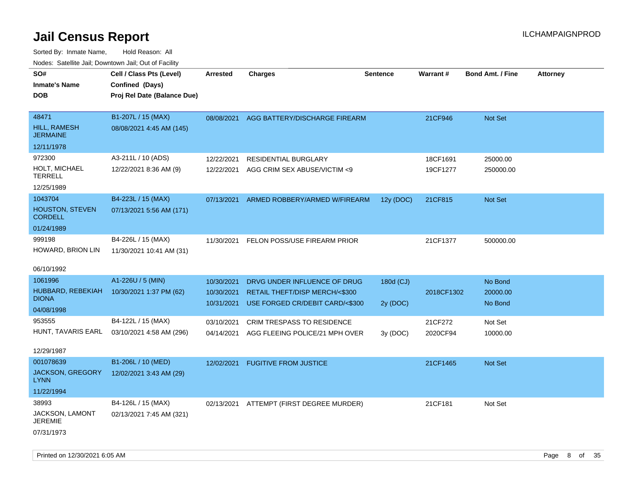Sorted By: Inmate Name, Hold Reason: All Nodes: Satellite Jail; Downtown Jail; Out of Facility

| SO#<br><b>Inmate's Name</b><br><b>DOB</b>                  | Cell / Class Pts (Level)<br>Confined (Days)<br>Proj Rel Date (Balance Due) | Arrested                               | <b>Charges</b>                                                                                    | Sentence              | Warrant#             | <b>Bond Amt. / Fine</b>        | <b>Attorney</b> |
|------------------------------------------------------------|----------------------------------------------------------------------------|----------------------------------------|---------------------------------------------------------------------------------------------------|-----------------------|----------------------|--------------------------------|-----------------|
| 48471<br>HILL, RAMESH<br><b>JERMAINE</b>                   | B1-207L / 15 (MAX)<br>08/08/2021 4:45 AM (145)                             | 08/08/2021                             | AGG BATTERY/DISCHARGE FIREARM                                                                     |                       | 21CF946              | Not Set                        |                 |
| 12/11/1978                                                 |                                                                            |                                        |                                                                                                   |                       |                      |                                |                 |
| 972300<br><b>HOLT, MICHAEL</b><br><b>TERRELL</b>           | A3-211L / 10 (ADS)<br>12/22/2021 8:36 AM (9)                               | 12/22/2021<br>12/22/2021               | <b>RESIDENTIAL BURGLARY</b><br>AGG CRIM SEX ABUSE/VICTIM <9                                       |                       | 18CF1691<br>19CF1277 | 25000.00<br>250000.00          |                 |
| 12/25/1989                                                 |                                                                            |                                        |                                                                                                   |                       |                      |                                |                 |
| 1043704<br><b>HOUSTON, STEVEN</b><br><b>CORDELL</b>        | B4-223L / 15 (MAX)<br>07/13/2021 5:56 AM (171)                             | 07/13/2021                             | ARMED ROBBERY/ARMED W/FIREARM                                                                     | 12y (DOC)             | 21CF815              | <b>Not Set</b>                 |                 |
| 01/24/1989                                                 |                                                                            |                                        |                                                                                                   |                       |                      |                                |                 |
| 999198<br>HOWARD, BRION LIN                                | B4-226L / 15 (MAX)<br>11/30/2021 10:41 AM (31)                             | 11/30/2021                             | FELON POSS/USE FIREARM PRIOR                                                                      |                       | 21CF1377             | 500000.00                      |                 |
| 06/10/1992                                                 |                                                                            |                                        |                                                                                                   |                       |                      |                                |                 |
| 1061996<br>HUBBARD, REBEKIAH<br><b>DIONA</b><br>04/08/1998 | A1-226U / 5 (MIN)<br>10/30/2021 1:37 PM (62)                               | 10/30/2021<br>10/30/2021<br>10/31/2021 | DRVG UNDER INFLUENCE OF DRUG<br>RETAIL THEFT/DISP MERCH/<\$300<br>USE FORGED CR/DEBIT CARD/<\$300 | 180d (CJ)<br>2y (DOC) | 2018CF1302           | No Bond<br>20000.00<br>No Bond |                 |
| 953555                                                     | B4-122L / 15 (MAX)                                                         | 03/10/2021                             | <b>CRIM TRESPASS TO RESIDENCE</b>                                                                 |                       | 21CF272              | Not Set                        |                 |
| HUNT, TAVARIS EARL                                         | 03/10/2021 4:58 AM (296)                                                   | 04/14/2021                             | AGG FLEEING POLICE/21 MPH OVER                                                                    | 3y (DOC)              | 2020CF94             | 10000.00                       |                 |
| 12/29/1987<br>001078639                                    | B1-206L / 10 (MED)                                                         |                                        |                                                                                                   |                       |                      |                                |                 |
| JACKSON, GREGORY<br>LYNN                                   | 12/02/2021 3:43 AM (29)                                                    | 12/02/2021                             | <b>FUGITIVE FROM JUSTICE</b>                                                                      |                       | 21CF1465             | Not Set                        |                 |
| 11/22/1994                                                 |                                                                            |                                        |                                                                                                   |                       |                      |                                |                 |
| 38993<br><b>JACKSON, LAMONT</b><br>JEREMIE<br>07/31/1973   | B4-126L / 15 (MAX)<br>02/13/2021 7:45 AM (321)                             | 02/13/2021                             | ATTEMPT (FIRST DEGREE MURDER)                                                                     |                       | 21CF181              | Not Set                        |                 |

Printed on 12/30/2021 6:05 AM Page 8 of 35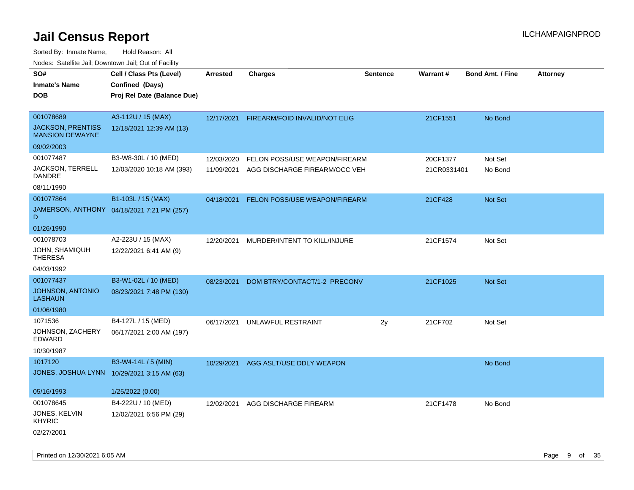| rouco. Calcillo Jali, Downtown Jali, Out of Facility |                                            |                 |                               |                 |             |                         |                 |
|------------------------------------------------------|--------------------------------------------|-----------------|-------------------------------|-----------------|-------------|-------------------------|-----------------|
| SO#                                                  | Cell / Class Pts (Level)                   | <b>Arrested</b> | <b>Charges</b>                | <b>Sentence</b> | Warrant#    | <b>Bond Amt. / Fine</b> | <b>Attorney</b> |
| <b>Inmate's Name</b>                                 | Confined (Days)                            |                 |                               |                 |             |                         |                 |
| <b>DOB</b>                                           | Proj Rel Date (Balance Due)                |                 |                               |                 |             |                         |                 |
|                                                      |                                            |                 |                               |                 |             |                         |                 |
| 001078689                                            | A3-112U / 15 (MAX)                         | 12/17/2021      | FIREARM/FOID INVALID/NOT ELIG |                 | 21CF1551    | No Bond                 |                 |
| <b>JACKSON, PRENTISS</b><br><b>MANSION DEWAYNE</b>   | 12/18/2021 12:39 AM (13)                   |                 |                               |                 |             |                         |                 |
| 09/02/2003                                           |                                            |                 |                               |                 |             |                         |                 |
| 001077487                                            | B3-W8-30L / 10 (MED)                       | 12/03/2020      | FELON POSS/USE WEAPON/FIREARM |                 | 20CF1377    | Not Set                 |                 |
| JACKSON, TERRELL<br>DANDRE                           | 12/03/2020 10:18 AM (393)                  | 11/09/2021      | AGG DISCHARGE FIREARM/OCC VEH |                 | 21CR0331401 | No Bond                 |                 |
| 08/11/1990                                           |                                            |                 |                               |                 |             |                         |                 |
| 001077864                                            | B1-103L / 15 (MAX)                         | 04/18/2021      | FELON POSS/USE WEAPON/FIREARM |                 | 21CF428     | Not Set                 |                 |
| D                                                    | JAMERSON, ANTHONY 04/18/2021 7:21 PM (257) |                 |                               |                 |             |                         |                 |
| 01/26/1990                                           |                                            |                 |                               |                 |             |                         |                 |
| 001078703                                            | A2-223U / 15 (MAX)                         | 12/20/2021      | MURDER/INTENT TO KILL/INJURE  |                 | 21CF1574    | Not Set                 |                 |
| JOHN, SHAMIQUH<br><b>THERESA</b>                     | 12/22/2021 6:41 AM (9)                     |                 |                               |                 |             |                         |                 |
| 04/03/1992                                           |                                            |                 |                               |                 |             |                         |                 |
| 001077437                                            | B3-W1-02L / 10 (MED)                       | 08/23/2021      | DOM BTRY/CONTACT/1-2 PRECONV  |                 | 21CF1025    | Not Set                 |                 |
| JOHNSON, ANTONIO<br><b>LASHAUN</b>                   | 08/23/2021 7:48 PM (130)                   |                 |                               |                 |             |                         |                 |
| 01/06/1980                                           |                                            |                 |                               |                 |             |                         |                 |
| 1071536                                              | B4-127L / 15 (MED)                         | 06/17/2021      | UNLAWFUL RESTRAINT            | 2y              | 21CF702     | Not Set                 |                 |
| JOHNSON, ZACHERY<br><b>EDWARD</b>                    | 06/17/2021 2:00 AM (197)                   |                 |                               |                 |             |                         |                 |
| 10/30/1987                                           |                                            |                 |                               |                 |             |                         |                 |
| 1017120                                              | B3-W4-14L / 5 (MIN)                        | 10/29/2021      | AGG ASLT/USE DDLY WEAPON      |                 |             | No Bond                 |                 |
| JONES, JOSHUA LYNN 10/29/2021 3:15 AM (63)           |                                            |                 |                               |                 |             |                         |                 |
| 05/16/1993                                           | 1/25/2022 (0.00)                           |                 |                               |                 |             |                         |                 |
| 001078645                                            | B4-222U / 10 (MED)                         | 12/02/2021      | AGG DISCHARGE FIREARM         |                 | 21CF1478    | No Bond                 |                 |
| JONES, KELVIN<br>KHYRIC                              | 12/02/2021 6:56 PM (29)                    |                 |                               |                 |             |                         |                 |
| 02/27/2001                                           |                                            |                 |                               |                 |             |                         |                 |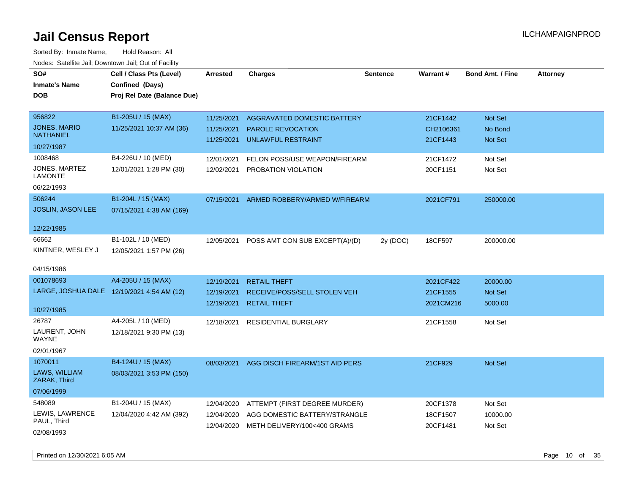| SO#                                    | Cell / Class Pts (Level)                   | <b>Arrested</b> | <b>Charges</b>                 | <b>Sentence</b> | Warrant#  | <b>Bond Amt. / Fine</b> | <b>Attorney</b> |
|----------------------------------------|--------------------------------------------|-----------------|--------------------------------|-----------------|-----------|-------------------------|-----------------|
| <b>Inmate's Name</b>                   | Confined (Days)                            |                 |                                |                 |           |                         |                 |
| <b>DOB</b>                             | Proj Rel Date (Balance Due)                |                 |                                |                 |           |                         |                 |
|                                        |                                            |                 |                                |                 |           |                         |                 |
| 956822                                 | B1-205U / 15 (MAX)                         | 11/25/2021      | AGGRAVATED DOMESTIC BATTERY    |                 | 21CF1442  | Not Set                 |                 |
| <b>JONES, MARIO</b>                    | 11/25/2021 10:37 AM (36)                   | 11/25/2021      | <b>PAROLE REVOCATION</b>       |                 | CH2106361 | No Bond                 |                 |
| <b>NATHANIEL</b>                       |                                            | 11/25/2021      | <b>UNLAWFUL RESTRAINT</b>      |                 | 21CF1443  | <b>Not Set</b>          |                 |
| 10/27/1987                             |                                            |                 |                                |                 |           |                         |                 |
| 1008468                                | B4-226U / 10 (MED)                         | 12/01/2021      | FELON POSS/USE WEAPON/FIREARM  |                 | 21CF1472  | Not Set                 |                 |
| <b>JONES, MARTEZ</b><br><b>LAMONTE</b> | 12/01/2021 1:28 PM (30)                    | 12/02/2021      | PROBATION VIOLATION            |                 | 20CF1151  | Not Set                 |                 |
| 06/22/1993                             |                                            |                 |                                |                 |           |                         |                 |
| 506244                                 | B1-204L / 15 (MAX)                         | 07/15/2021      | ARMED ROBBERY/ARMED W/FIREARM  |                 | 2021CF791 | 250000.00               |                 |
| JOSLIN, JASON LEE                      | 07/15/2021 4:38 AM (169)                   |                 |                                |                 |           |                         |                 |
| 12/22/1985                             |                                            |                 |                                |                 |           |                         |                 |
| 66662                                  | B1-102L / 10 (MED)                         | 12/05/2021      | POSS AMT CON SUB EXCEPT(A)/(D) | 2y (DOC)        | 18CF597   | 200000.00               |                 |
| KINTNER, WESLEY J                      | 12/05/2021 1:57 PM (26)                    |                 |                                |                 |           |                         |                 |
| 04/15/1986                             |                                            |                 |                                |                 |           |                         |                 |
| 001078693                              | A4-205U / 15 (MAX)                         | 12/19/2021      | <b>RETAIL THEFT</b>            |                 | 2021CF422 | 20000.00                |                 |
|                                        | LARGE, JOSHUA DALE 12/19/2021 4:54 AM (12) | 12/19/2021      | RECEIVE/POSS/SELL STOLEN VEH   |                 | 21CF1555  | Not Set                 |                 |
|                                        |                                            | 12/19/2021      | <b>RETAIL THEFT</b>            |                 | 2021CM216 | 5000.00                 |                 |
| 10/27/1985                             |                                            |                 |                                |                 |           |                         |                 |
| 26787                                  | A4-205L / 10 (MED)                         | 12/18/2021      | <b>RESIDENTIAL BURGLARY</b>    |                 | 21CF1558  | Not Set                 |                 |
| LAURENT, JOHN<br>WAYNE                 | 12/18/2021 9:30 PM (13)                    |                 |                                |                 |           |                         |                 |
| 02/01/1967                             |                                            |                 |                                |                 |           |                         |                 |
| 1070011                                | B4-124U / 15 (MAX)                         | 08/03/2021      | AGG DISCH FIREARM/1ST AID PERS |                 | 21CF929   | <b>Not Set</b>          |                 |
| LAWS, WILLIAM<br>ZARAK, Third          | 08/03/2021 3:53 PM (150)                   |                 |                                |                 |           |                         |                 |
| 07/06/1999                             |                                            |                 |                                |                 |           |                         |                 |
| 548089                                 | B1-204U / 15 (MAX)                         | 12/04/2020      | ATTEMPT (FIRST DEGREE MURDER)  |                 | 20CF1378  | Not Set                 |                 |
| LEWIS, LAWRENCE                        | 12/04/2020 4:42 AM (392)                   | 12/04/2020      | AGG DOMESTIC BATTERY/STRANGLE  |                 | 18CF1507  | 10000.00                |                 |
| PAUL, Third                            |                                            | 12/04/2020      | METH DELIVERY/100<400 GRAMS    |                 | 20CF1481  | Not Set                 |                 |
| 02/08/1993                             |                                            |                 |                                |                 |           |                         |                 |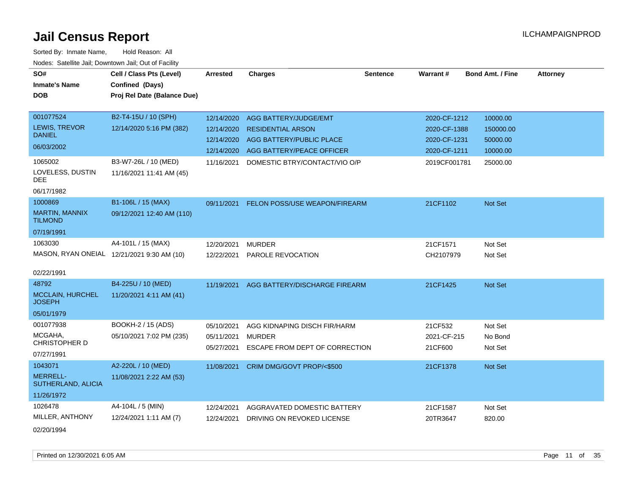| SO#                                   | Cell / Class Pts (Level)                   | <b>Arrested</b> | <b>Charges</b>                           | <b>Sentence</b> | <b>Warrant#</b> | <b>Bond Amt. / Fine</b> | <b>Attorney</b> |
|---------------------------------------|--------------------------------------------|-----------------|------------------------------------------|-----------------|-----------------|-------------------------|-----------------|
| <b>Inmate's Name</b>                  | Confined (Days)                            |                 |                                          |                 |                 |                         |                 |
| <b>DOB</b>                            | Proj Rel Date (Balance Due)                |                 |                                          |                 |                 |                         |                 |
|                                       |                                            |                 |                                          |                 |                 |                         |                 |
| 001077524                             | B2-T4-15U / 10 (SPH)                       | 12/14/2020      | AGG BATTERY/JUDGE/EMT                    |                 | 2020-CF-1212    | 10000.00                |                 |
| <b>LEWIS, TREVOR</b><br><b>DANIEL</b> | 12/14/2020 5:16 PM (382)                   | 12/14/2020      | <b>RESIDENTIAL ARSON</b>                 |                 | 2020-CF-1388    | 150000.00               |                 |
| 06/03/2002                            |                                            | 12/14/2020      | AGG BATTERY/PUBLIC PLACE                 |                 | 2020-CF-1231    | 50000.00                |                 |
|                                       |                                            |                 | 12/14/2020 AGG BATTERY/PEACE OFFICER     |                 | 2020-CF-1211    | 10000.00                |                 |
| 1065002                               | B3-W7-26L / 10 (MED)                       | 11/16/2021      | DOMESTIC BTRY/CONTACT/VIO O/P            |                 | 2019CF001781    | 25000.00                |                 |
| LOVELESS, DUSTIN<br><b>DEE</b>        | 11/16/2021 11:41 AM (45)                   |                 |                                          |                 |                 |                         |                 |
| 06/17/1982                            |                                            |                 |                                          |                 |                 |                         |                 |
| 1000869                               | B1-106L / 15 (MAX)                         |                 | 09/11/2021 FELON POSS/USE WEAPON/FIREARM |                 | 21CF1102        | Not Set                 |                 |
| MARTIN, MANNIX<br><b>TILMOND</b>      | 09/12/2021 12:40 AM (110)                  |                 |                                          |                 |                 |                         |                 |
| 07/19/1991                            |                                            |                 |                                          |                 |                 |                         |                 |
| 1063030                               | A4-101L / 15 (MAX)                         | 12/20/2021      | <b>MURDER</b>                            |                 | 21CF1571        | Not Set                 |                 |
|                                       | MASON, RYAN ONEIAL 12/21/2021 9:30 AM (10) |                 | 12/22/2021 PAROLE REVOCATION             |                 | CH2107979       | Not Set                 |                 |
| 02/22/1991                            |                                            |                 |                                          |                 |                 |                         |                 |
| 48792                                 | B4-225U / 10 (MED)                         | 11/19/2021      | AGG BATTERY/DISCHARGE FIREARM            |                 | 21CF1425        | <b>Not Set</b>          |                 |
| MCCLAIN, HURCHEL<br><b>JOSEPH</b>     | 11/20/2021 4:11 AM (41)                    |                 |                                          |                 |                 |                         |                 |
| 05/01/1979                            |                                            |                 |                                          |                 |                 |                         |                 |
| 001077938                             | BOOKH-2 / 15 (ADS)                         | 05/10/2021      | AGG KIDNAPING DISCH FIR/HARM             |                 | 21CF532         | Not Set                 |                 |
| MCGAHA,                               | 05/10/2021 7:02 PM (235)                   | 05/11/2021      | <b>MURDER</b>                            |                 | 2021-CF-215     | No Bond                 |                 |
| CHRISTOPHER D                         |                                            | 05/27/2021      | ESCAPE FROM DEPT OF CORRECTION           |                 | 21CF600         | Not Set                 |                 |
| 07/27/1991                            |                                            |                 |                                          |                 |                 |                         |                 |
| 1043071                               | A2-220L / 10 (MED)                         | 11/08/2021      | CRIM DMG/GOVT PROP/<\$500                |                 | 21CF1378        | Not Set                 |                 |
| <b>MERRELL-</b><br>SUTHERLAND, ALICIA | 11/08/2021 2:22 AM (53)                    |                 |                                          |                 |                 |                         |                 |
| 11/26/1972                            |                                            |                 |                                          |                 |                 |                         |                 |
| 1026478                               | A4-104L / 5 (MIN)                          | 12/24/2021      | AGGRAVATED DOMESTIC BATTERY              |                 | 21CF1587        | Not Set                 |                 |
| MILLER, ANTHONY                       | 12/24/2021 1:11 AM (7)                     | 12/24/2021      | DRIVING ON REVOKED LICENSE               |                 | 20TR3647        | 820.00                  |                 |
| 02/20/1994                            |                                            |                 |                                          |                 |                 |                         |                 |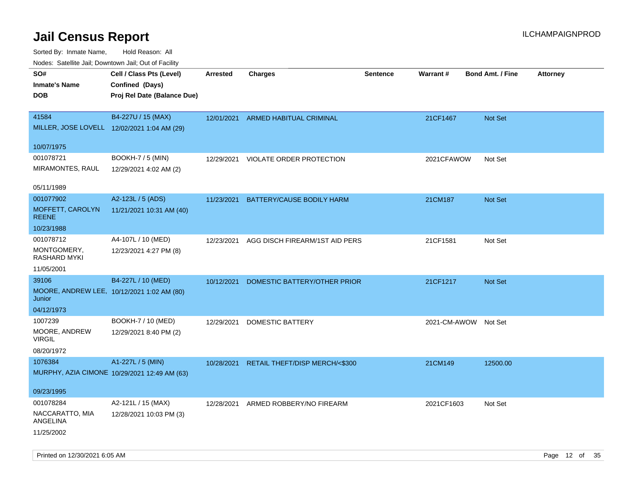| Nodes. Satellite Jali, Downtown Jali, Out of Facility |                                              |            |                                |                 |                      |                         |                 |
|-------------------------------------------------------|----------------------------------------------|------------|--------------------------------|-----------------|----------------------|-------------------------|-----------------|
| SO#                                                   | Cell / Class Pts (Level)                     | Arrested   | <b>Charges</b>                 | <b>Sentence</b> | <b>Warrant#</b>      | <b>Bond Amt. / Fine</b> | <b>Attorney</b> |
| <b>Inmate's Name</b>                                  | Confined (Days)                              |            |                                |                 |                      |                         |                 |
| <b>DOB</b>                                            | Proj Rel Date (Balance Due)                  |            |                                |                 |                      |                         |                 |
|                                                       |                                              |            |                                |                 |                      |                         |                 |
| 41584                                                 | B4-227U / 15 (MAX)                           | 12/01/2021 | <b>ARMED HABITUAL CRIMINAL</b> |                 | 21CF1467             | Not Set                 |                 |
| MILLER, JOSE LOVELL 12/02/2021 1:04 AM (29)           |                                              |            |                                |                 |                      |                         |                 |
|                                                       |                                              |            |                                |                 |                      |                         |                 |
| 10/07/1975                                            |                                              |            |                                |                 |                      |                         |                 |
| 001078721                                             | BOOKH-7 / 5 (MIN)                            | 12/29/2021 | VIOLATE ORDER PROTECTION       |                 | 2021CFAWOW           | Not Set                 |                 |
| MIRAMONTES, RAUL                                      | 12/29/2021 4:02 AM (2)                       |            |                                |                 |                      |                         |                 |
|                                                       |                                              |            |                                |                 |                      |                         |                 |
| 05/11/1989                                            |                                              |            |                                |                 |                      |                         |                 |
| 001077902                                             | A2-123L / 5 (ADS)                            | 11/23/2021 | BATTERY/CAUSE BODILY HARM      |                 | 21CM187              | Not Set                 |                 |
| MOFFETT, CAROLYN<br><b>REENE</b>                      | 11/21/2021 10:31 AM (40)                     |            |                                |                 |                      |                         |                 |
| 10/23/1988                                            |                                              |            |                                |                 |                      |                         |                 |
| 001078712                                             | A4-107L / 10 (MED)                           | 12/23/2021 | AGG DISCH FIREARM/1ST AID PERS |                 | 21CF1581             | Not Set                 |                 |
| MONTGOMERY,                                           | 12/23/2021 4:27 PM (8)                       |            |                                |                 |                      |                         |                 |
| <b>RASHARD MYKI</b>                                   |                                              |            |                                |                 |                      |                         |                 |
| 11/05/2001                                            |                                              |            |                                |                 |                      |                         |                 |
| 39106                                                 | B4-227L / 10 (MED)                           | 10/12/2021 | DOMESTIC BATTERY/OTHER PRIOR   |                 | 21CF1217             | Not Set                 |                 |
| MOORE, ANDREW LEE, 10/12/2021 1:02 AM (80)            |                                              |            |                                |                 |                      |                         |                 |
| Junior                                                |                                              |            |                                |                 |                      |                         |                 |
| 04/12/1973                                            |                                              |            |                                |                 |                      |                         |                 |
| 1007239                                               | BOOKH-7 / 10 (MED)                           | 12/29/2021 | DOMESTIC BATTERY               |                 | 2021-CM-AWOW Not Set |                         |                 |
| MOORE, ANDREW                                         | 12/29/2021 8:40 PM (2)                       |            |                                |                 |                      |                         |                 |
| VIRGIL<br>08/20/1972                                  |                                              |            |                                |                 |                      |                         |                 |
|                                                       |                                              |            |                                |                 |                      |                         |                 |
| 1076384                                               | A1-227L / 5 (MIN)                            | 10/28/2021 | RETAIL THEFT/DISP MERCH/<\$300 |                 | 21CM149              | 12500.00                |                 |
|                                                       | MURPHY, AZIA CIMONE 10/29/2021 12:49 AM (63) |            |                                |                 |                      |                         |                 |
| 09/23/1995                                            |                                              |            |                                |                 |                      |                         |                 |
| 001078284                                             | A2-121L / 15 (MAX)                           | 12/28/2021 | ARMED ROBBERY/NO FIREARM       |                 | 2021CF1603           | Not Set                 |                 |
| NACCARATTO, MIA                                       | 12/28/2021 10:03 PM (3)                      |            |                                |                 |                      |                         |                 |
| ANGELINA                                              |                                              |            |                                |                 |                      |                         |                 |
| 11/25/2002                                            |                                              |            |                                |                 |                      |                         |                 |
|                                                       |                                              |            |                                |                 |                      |                         |                 |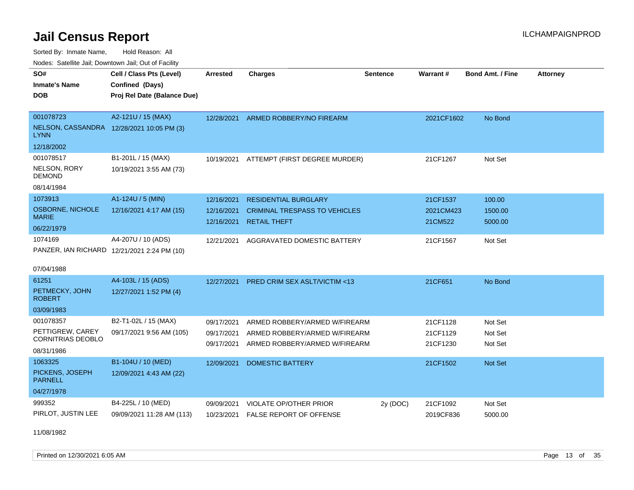Sorted By: Inmate Name, Hold Reason: All Nodes: Satellite Jail; Downtown Jail; Out of Facility

| SO#<br><b>Inmate's Name</b><br>DOB<br>001078723<br>NELSON, CASSANDRA 12/28/2021 10:05 PM (3)<br>LYNN | Cell / Class Pts (Level)<br>Confined (Days)<br>Proj Rel Date (Balance Due)<br>A2-121U / 15 (MAX) | <b>Arrested</b><br>12/28/2021          | <b>Charges</b><br>ARMED ROBBERY/NO FIREARM                                                      | <b>Sentence</b> | Warrant#<br>2021CF1602           | Bond Amt. / Fine<br>No Bond   | <b>Attorney</b> |
|------------------------------------------------------------------------------------------------------|--------------------------------------------------------------------------------------------------|----------------------------------------|-------------------------------------------------------------------------------------------------|-----------------|----------------------------------|-------------------------------|-----------------|
| 12/18/2002<br>001078517<br>NELSON, RORY<br><b>DEMOND</b><br>08/14/1984                               | B1-201L / 15 (MAX)<br>10/19/2021 3:55 AM (73)                                                    |                                        | 10/19/2021 ATTEMPT (FIRST DEGREE MURDER)                                                        |                 | 21CF1267                         | Not Set                       |                 |
| 1073913<br><b>OSBORNE, NICHOLE</b><br><b>MARIE</b><br>06/22/1979                                     | A1-124U / 5 (MIN)<br>12/16/2021 4:17 AM (15)                                                     | 12/16/2021<br>12/16/2021<br>12/16/2021 | <b>RESIDENTIAL BURGLARY</b><br><b>CRIMINAL TRESPASS TO VEHICLES</b><br><b>RETAIL THEFT</b>      |                 | 21CF1537<br>2021CM423<br>21CM522 | 100.00<br>1500.00<br>5000.00  |                 |
| 1074169<br>PANZER, IAN RICHARD 12/21/2021 2:24 PM (10)<br>07/04/1988                                 | A4-207U / 10 (ADS)                                                                               | 12/21/2021                             | AGGRAVATED DOMESTIC BATTERY                                                                     |                 | 21CF1567                         | Not Set                       |                 |
| 61251<br>PETMECKY, JOHN<br><b>ROBERT</b><br>03/09/1983                                               | A4-103L / 15 (ADS)<br>12/27/2021 1:52 PM (4)                                                     | 12/27/2021                             | <b>PRED CRIM SEX ASLT/VICTIM &lt;13</b>                                                         |                 | 21CF651                          | No Bond                       |                 |
| 001078357<br>PETTIGREW, CAREY<br><b>CORNITRIAS DEOBLO</b><br>08/31/1986                              | B2-T1-02L / 15 (MAX)<br>09/17/2021 9:56 AM (105)                                                 | 09/17/2021<br>09/17/2021<br>09/17/2021 | ARMED ROBBERY/ARMED W/FIREARM<br>ARMED ROBBERY/ARMED W/FIREARM<br>ARMED ROBBERY/ARMED W/FIREARM |                 | 21CF1128<br>21CF1129<br>21CF1230 | Not Set<br>Not Set<br>Not Set |                 |
| 1063325<br>PICKENS, JOSEPH<br><b>PARNELL</b><br>04/27/1978                                           | B1-104U / 10 (MED)<br>12/09/2021 4:43 AM (22)                                                    | 12/09/2021                             | <b>DOMESTIC BATTERY</b>                                                                         |                 | 21CF1502                         | Not Set                       |                 |
| 999352<br>PIRLOT, JUSTIN LEE                                                                         | B4-225L / 10 (MED)<br>09/09/2021 11:28 AM (113)                                                  | 09/09/2021<br>10/23/2021               | <b>VIOLATE OP/OTHER PRIOR</b><br><b>FALSE REPORT OF OFFENSE</b>                                 | 2y (DOC)        | 21CF1092<br>2019CF836            | Not Set<br>5000.00            |                 |

11/08/1982

Printed on 12/30/2021 6:05 AM **Page 13** of 35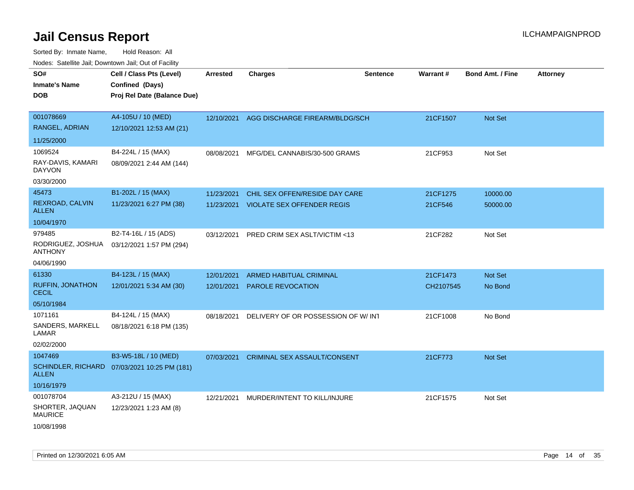| roaco. Calcinio dan, Domnomi dan, Cal or Fability |                                              |            |                                           |                 |                 |                         |                 |
|---------------------------------------------------|----------------------------------------------|------------|-------------------------------------------|-----------------|-----------------|-------------------------|-----------------|
| SO#                                               | Cell / Class Pts (Level)                     | Arrested   | <b>Charges</b>                            | <b>Sentence</b> | <b>Warrant#</b> | <b>Bond Amt. / Fine</b> | <b>Attorney</b> |
| Inmate's Name                                     | Confined (Days)                              |            |                                           |                 |                 |                         |                 |
| DOB                                               | Proj Rel Date (Balance Due)                  |            |                                           |                 |                 |                         |                 |
|                                                   |                                              |            |                                           |                 |                 |                         |                 |
| 001078669                                         | A4-105U / 10 (MED)                           |            | 12/10/2021 AGG DISCHARGE FIREARM/BLDG/SCH |                 | 21CF1507        | <b>Not Set</b>          |                 |
| RANGEL, ADRIAN                                    | 12/10/2021 12:53 AM (21)                     |            |                                           |                 |                 |                         |                 |
| 11/25/2000                                        |                                              |            |                                           |                 |                 |                         |                 |
| 1069524                                           | B4-224L / 15 (MAX)                           | 08/08/2021 | MFG/DEL CANNABIS/30-500 GRAMS             |                 | 21CF953         | Not Set                 |                 |
| RAY-DAVIS, KAMARI<br>DAYVON                       | 08/09/2021 2:44 AM (144)                     |            |                                           |                 |                 |                         |                 |
| 03/30/2000                                        |                                              |            |                                           |                 |                 |                         |                 |
| 45473                                             | B1-202L / 15 (MAX)                           | 11/23/2021 | CHIL SEX OFFEN/RESIDE DAY CARE            |                 | 21CF1275        | 10000.00                |                 |
| REXROAD, CALVIN<br>ALLEN                          | 11/23/2021 6:27 PM (38)                      |            | 11/23/2021 VIOLATE SEX OFFENDER REGIS     |                 | 21CF546         | 50000.00                |                 |
| 10/04/1970                                        |                                              |            |                                           |                 |                 |                         |                 |
| 979485                                            | B2-T4-16L / 15 (ADS)                         | 03/12/2021 | PRED CRIM SEX ASLT/VICTIM <13             |                 | 21CF282         | Not Set                 |                 |
| RODRIGUEZ, JOSHUA<br>ANTHONY                      | 03/12/2021 1:57 PM (294)                     |            |                                           |                 |                 |                         |                 |
| 04/06/1990                                        |                                              |            |                                           |                 |                 |                         |                 |
| 61330                                             | B4-123L / 15 (MAX)                           | 12/01/2021 | <b>ARMED HABITUAL CRIMINAL</b>            |                 | 21CF1473        | <b>Not Set</b>          |                 |
| RUFFIN, JONATHON<br>CECIL                         | 12/01/2021 5:34 AM (30)                      | 12/01/2021 | <b>PAROLE REVOCATION</b>                  |                 | CH2107545       | No Bond                 |                 |
| 05/10/1984                                        |                                              |            |                                           |                 |                 |                         |                 |
| 1071161                                           | B4-124L / 15 (MAX)                           | 08/18/2021 | DELIVERY OF OR POSSESSION OF W/INT        |                 | 21CF1008        | No Bond                 |                 |
| SANDERS, MARKELL<br>LAMAR                         | 08/18/2021 6:18 PM (135)                     |            |                                           |                 |                 |                         |                 |
| 02/02/2000                                        |                                              |            |                                           |                 |                 |                         |                 |
| 1047469                                           | B3-W5-18L / 10 (MED)                         | 07/03/2021 | <b>CRIMINAL SEX ASSAULT/CONSENT</b>       |                 | 21CF773         | <b>Not Set</b>          |                 |
| ALLEN                                             | SCHINDLER, RICHARD 07/03/2021 10:25 PM (181) |            |                                           |                 |                 |                         |                 |
| 10/16/1979                                        |                                              |            |                                           |                 |                 |                         |                 |
| 001078704                                         | A3-212U / 15 (MAX)                           | 12/21/2021 | MURDER/INTENT TO KILL/INJURE              |                 | 21CF1575        | Not Set                 |                 |
| SHORTER, JAQUAN<br><b>MAURICE</b>                 | 12/23/2021 1:23 AM (8)                       |            |                                           |                 |                 |                         |                 |
| 10/08/1998                                        |                                              |            |                                           |                 |                 |                         |                 |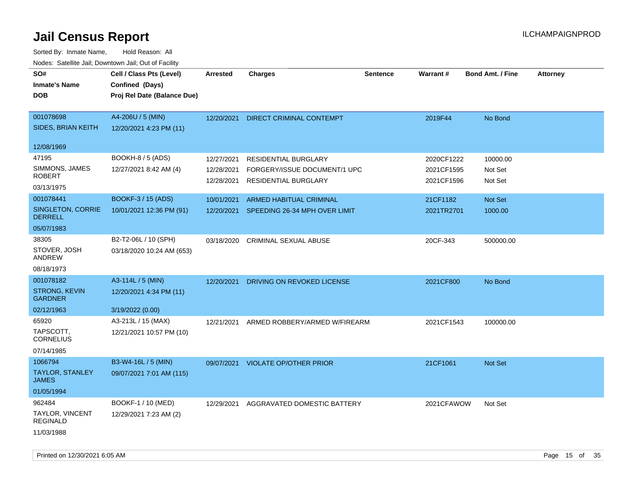| SO#<br><b>Inmate's Name</b><br><b>DOB</b>        | Cell / Class Pts (Level)<br>Confined (Days)<br>Proj Rel Date (Balance Due) | Arrested                 | <b>Charges</b>                                              | <b>Sentence</b> | Warrant#                 | <b>Bond Amt. / Fine</b> | <b>Attorney</b> |
|--------------------------------------------------|----------------------------------------------------------------------------|--------------------------|-------------------------------------------------------------|-----------------|--------------------------|-------------------------|-----------------|
| 001078698<br>SIDES, BRIAN KEITH                  | A4-206U / 5 (MIN)<br>12/20/2021 4:23 PM (11)                               | 12/20/2021               | <b>DIRECT CRIMINAL CONTEMPT</b>                             |                 | 2019F44                  | No Bond                 |                 |
| 12/08/1969                                       |                                                                            |                          |                                                             |                 |                          |                         |                 |
| 47195                                            | BOOKH-8 / 5 (ADS)                                                          | 12/27/2021               | <b>RESIDENTIAL BURGLARY</b>                                 |                 | 2020CF1222               | 10000.00                |                 |
| SIMMONS, JAMES<br><b>ROBERT</b>                  | 12/27/2021 8:42 AM (4)                                                     | 12/28/2021<br>12/28/2021 | FORGERY/ISSUE DOCUMENT/1 UPC<br><b>RESIDENTIAL BURGLARY</b> |                 | 2021CF1595<br>2021CF1596 | Not Set<br>Not Set      |                 |
| 03/13/1975                                       |                                                                            |                          |                                                             |                 |                          |                         |                 |
| 001078441                                        | <b>BOOKF-3 / 15 (ADS)</b>                                                  | 10/01/2021               | ARMED HABITUAL CRIMINAL                                     |                 | 21CF1182                 | Not Set                 |                 |
| SINGLETON, CORRIE<br><b>DERRELL</b>              | 10/01/2021 12:36 PM (91)                                                   | 12/20/2021               | SPEEDING 26-34 MPH OVER LIMIT                               |                 | 2021TR2701               | 1000.00                 |                 |
| 05/07/1983                                       |                                                                            |                          |                                                             |                 |                          |                         |                 |
| 38305<br>STOVER, JOSH<br>ANDREW                  | B2-T2-06L / 10 (SPH)<br>03/18/2020 10:24 AM (653)                          | 03/18/2020               | CRIMINAL SEXUAL ABUSE                                       |                 | 20CF-343                 | 500000.00               |                 |
| 08/18/1973                                       |                                                                            |                          |                                                             |                 |                          |                         |                 |
| 001078182                                        | A3-114L / 5 (MIN)                                                          | 12/20/2021               | DRIVING ON REVOKED LICENSE                                  |                 | 2021CF800                | No Bond                 |                 |
| <b>STRONG, KEVIN</b><br><b>GARDNER</b>           | 12/20/2021 4:34 PM (11)                                                    |                          |                                                             |                 |                          |                         |                 |
| 02/12/1963                                       | 3/19/2022 (0.00)                                                           |                          |                                                             |                 |                          |                         |                 |
| 65920                                            | A3-213L / 15 (MAX)                                                         | 12/21/2021               | ARMED ROBBERY/ARMED W/FIREARM                               |                 | 2021CF1543               | 100000.00               |                 |
| TAPSCOTT,<br><b>CORNELIUS</b>                    | 12/21/2021 10:57 PM (10)                                                   |                          |                                                             |                 |                          |                         |                 |
| 07/14/1985                                       |                                                                            |                          |                                                             |                 |                          |                         |                 |
| 1066794                                          | B3-W4-16L / 5 (MIN)                                                        | 09/07/2021               | <b>VIOLATE OP/OTHER PRIOR</b>                               |                 | 21CF1061                 | Not Set                 |                 |
| <b>TAYLOR, STANLEY</b><br><b>JAMES</b>           | 09/07/2021 7:01 AM (115)                                                   |                          |                                                             |                 |                          |                         |                 |
| 01/05/1994                                       |                                                                            |                          |                                                             |                 |                          |                         |                 |
| 962484                                           | BOOKF-1 / 10 (MED)                                                         | 12/29/2021               | AGGRAVATED DOMESTIC BATTERY                                 |                 | 2021CFAWOW               | Not Set                 |                 |
| <b>TAYLOR, VINCENT</b><br>REGINALD<br>11/03/1988 | 12/29/2021 7:23 AM (2)                                                     |                          |                                                             |                 |                          |                         |                 |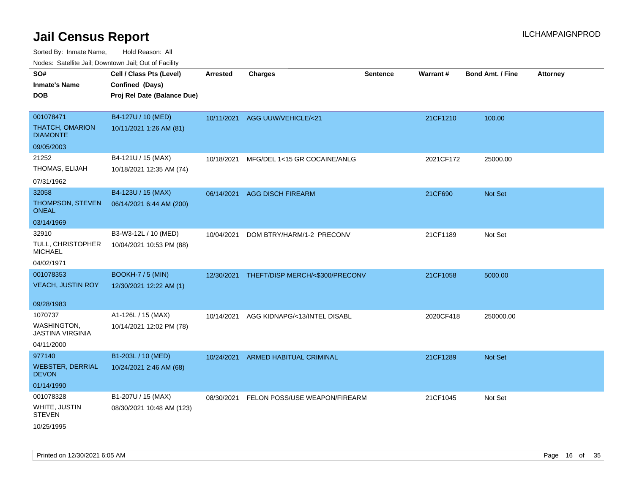Sorted By: Inmate Name, Hold Reason: All

Nodes: Satellite Jail; Downtown Jail; Out of Facility

| SO#                                       | Cell / Class Pts (Level)    | <b>Arrested</b> | <b>Charges</b>                  | <b>Sentence</b> | Warrant#  | <b>Bond Amt. / Fine</b> | <b>Attorney</b> |
|-------------------------------------------|-----------------------------|-----------------|---------------------------------|-----------------|-----------|-------------------------|-----------------|
| <b>Inmate's Name</b>                      | Confined (Days)             |                 |                                 |                 |           |                         |                 |
| <b>DOB</b>                                | Proj Rel Date (Balance Due) |                 |                                 |                 |           |                         |                 |
|                                           |                             |                 |                                 |                 |           |                         |                 |
| 001078471                                 | B4-127U / 10 (MED)          | 10/11/2021      | AGG UUW/VEHICLE/<21             |                 | 21CF1210  | 100.00                  |                 |
| <b>THATCH, OMARION</b><br><b>DIAMONTE</b> | 10/11/2021 1:26 AM (81)     |                 |                                 |                 |           |                         |                 |
| 09/05/2003                                |                             |                 |                                 |                 |           |                         |                 |
| 21252                                     | B4-121U / 15 (MAX)          | 10/18/2021      | MFG/DEL 1<15 GR COCAINE/ANLG    |                 | 2021CF172 | 25000.00                |                 |
| THOMAS, ELIJAH                            | 10/18/2021 12:35 AM (74)    |                 |                                 |                 |           |                         |                 |
| 07/31/1962                                |                             |                 |                                 |                 |           |                         |                 |
| 32058                                     | B4-123U / 15 (MAX)          | 06/14/2021      | <b>AGG DISCH FIREARM</b>        |                 | 21CF690   | <b>Not Set</b>          |                 |
| THOMPSON, STEVEN<br><b>ONEAL</b>          | 06/14/2021 6:44 AM (200)    |                 |                                 |                 |           |                         |                 |
| 03/14/1969                                |                             |                 |                                 |                 |           |                         |                 |
| 32910                                     | B3-W3-12L / 10 (MED)        | 10/04/2021      | DOM BTRY/HARM/1-2 PRECONV       |                 | 21CF1189  | Not Set                 |                 |
| TULL, CHRISTOPHER<br><b>MICHAEL</b>       | 10/04/2021 10:53 PM (88)    |                 |                                 |                 |           |                         |                 |
| 04/02/1971                                |                             |                 |                                 |                 |           |                         |                 |
| 001078353                                 | <b>BOOKH-7 / 5 (MIN)</b>    | 12/30/2021      | THEFT/DISP MERCH/<\$300/PRECONV |                 | 21CF1058  | 5000.00                 |                 |
| <b>VEACH, JUSTIN ROY</b>                  | 12/30/2021 12:22 AM (1)     |                 |                                 |                 |           |                         |                 |
|                                           |                             |                 |                                 |                 |           |                         |                 |
| 09/28/1983                                |                             |                 |                                 |                 |           |                         |                 |
| 1070737                                   | A1-126L / 15 (MAX)          | 10/14/2021      | AGG KIDNAPG/<13/INTEL DISABL    |                 | 2020CF418 | 250000.00               |                 |
| WASHINGTON,<br><b>JASTINA VIRGINIA</b>    | 10/14/2021 12:02 PM (78)    |                 |                                 |                 |           |                         |                 |
| 04/11/2000                                |                             |                 |                                 |                 |           |                         |                 |
| 977140                                    | B1-203L / 10 (MED)          | 10/24/2021      | ARMED HABITUAL CRIMINAL         |                 | 21CF1289  | Not Set                 |                 |
| <b>WEBSTER, DERRIAL</b><br><b>DEVON</b>   | 10/24/2021 2:46 AM (68)     |                 |                                 |                 |           |                         |                 |
| 01/14/1990                                |                             |                 |                                 |                 |           |                         |                 |
| 001078328                                 | B1-207U / 15 (MAX)          | 08/30/2021      | FELON POSS/USE WEAPON/FIREARM   |                 | 21CF1045  | Not Set                 |                 |
| WHITE, JUSTIN<br><b>STEVEN</b>            | 08/30/2021 10:48 AM (123)   |                 |                                 |                 |           |                         |                 |
| 10/25/1995                                |                             |                 |                                 |                 |           |                         |                 |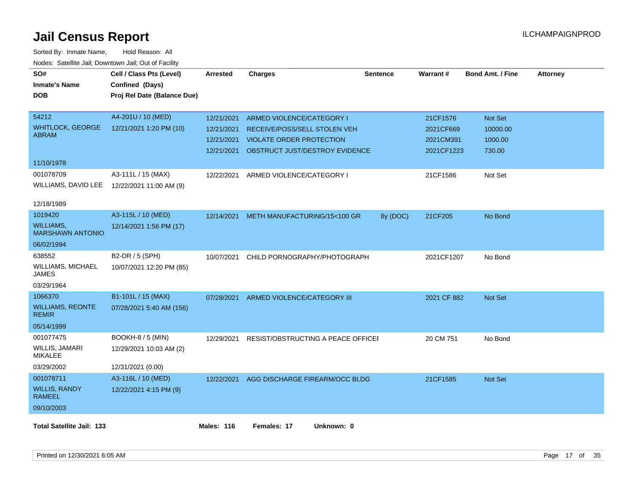| roaco. Catolino dall, Downtown dall, Out of Fability<br>SO# | Cell / Class Pts (Level)    | <b>Arrested</b>   | <b>Charges</b>                     | <b>Sentence</b> | Warrant#    | <b>Bond Amt. / Fine</b> | <b>Attorney</b> |
|-------------------------------------------------------------|-----------------------------|-------------------|------------------------------------|-----------------|-------------|-------------------------|-----------------|
| <b>Inmate's Name</b>                                        | Confined (Days)             |                   |                                    |                 |             |                         |                 |
| <b>DOB</b>                                                  | Proj Rel Date (Balance Due) |                   |                                    |                 |             |                         |                 |
|                                                             |                             |                   |                                    |                 |             |                         |                 |
| 54212                                                       | A4-201U / 10 (MED)          | 12/21/2021        | ARMED VIOLENCE/CATEGORY I          |                 | 21CF1576    | Not Set                 |                 |
| <b>WHITLOCK, GEORGE</b>                                     | 12/21/2021 1:20 PM (10)     | 12/21/2021        | RECEIVE/POSS/SELL STOLEN VEH       |                 | 2021CF669   | 10000.00                |                 |
| <b>ABRAM</b>                                                |                             | 12/21/2021        | VIOLATE ORDER PROTECTION           |                 | 2021CM391   | 1000.00                 |                 |
|                                                             |                             | 12/21/2021        | OBSTRUCT JUST/DESTROY EVIDENCE     |                 | 2021CF1223  | 730.00                  |                 |
| 11/10/1978                                                  |                             |                   |                                    |                 |             |                         |                 |
| 001078709                                                   | A3-111L / 15 (MAX)          | 12/22/2021        | ARMED VIOLENCE/CATEGORY I          |                 | 21CF1586    | Not Set                 |                 |
| WILLIAMS, DAVID LEE                                         | 12/22/2021 11:00 AM (9)     |                   |                                    |                 |             |                         |                 |
|                                                             |                             |                   |                                    |                 |             |                         |                 |
| 12/18/1989                                                  |                             |                   |                                    |                 |             |                         |                 |
| 1019420                                                     | A3-115L / 10 (MED)          | 12/14/2021        | METH MANUFACTURING/15<100 GR       | 8y (DOC)        | 21CF205     | No Bond                 |                 |
| WILLIAMS,<br><b>MARSHAWN ANTONIO</b>                        | 12/14/2021 1:56 PM (17)     |                   |                                    |                 |             |                         |                 |
| 06/02/1994                                                  |                             |                   |                                    |                 |             |                         |                 |
| 638552                                                      | B2-DR / 5 (SPH)             | 10/07/2021        | CHILD PORNOGRAPHY/PHOTOGRAPH       |                 | 2021CF1207  | No Bond                 |                 |
| WILLIAMS, MICHAEL<br>JAMES                                  | 10/07/2021 12:20 PM (85)    |                   |                                    |                 |             |                         |                 |
| 03/29/1964                                                  |                             |                   |                                    |                 |             |                         |                 |
| 1066370                                                     | B1-101L / 15 (MAX)          | 07/28/2021        | ARMED VIOLENCE/CATEGORY III        |                 | 2021 CF 882 | Not Set                 |                 |
| <b>WILLIAMS, REONTE</b><br><b>REMIR</b>                     | 07/28/2021 5:40 AM (156)    |                   |                                    |                 |             |                         |                 |
| 05/14/1999                                                  |                             |                   |                                    |                 |             |                         |                 |
| 001077475                                                   | <b>BOOKH-8 / 5 (MIN)</b>    | 12/29/2021        | RESIST/OBSTRUCTING A PEACE OFFICEF |                 | 20 CM 751   | No Bond                 |                 |
| WILLIS, JAMARI<br><b>MIKALEE</b>                            | 12/29/2021 10:03 AM (2)     |                   |                                    |                 |             |                         |                 |
| 03/29/2002                                                  | 12/31/2021 (0.00)           |                   |                                    |                 |             |                         |                 |
| 001078711                                                   | A3-116L / 10 (MED)          | 12/22/2021        | AGG DISCHARGE FIREARM/OCC BLDG     |                 | 21CF1585    | Not Set                 |                 |
| <b>WILLIS, RANDY</b><br><b>RAMEEL</b>                       | 12/22/2021 4:15 PM (9)      |                   |                                    |                 |             |                         |                 |
| 09/10/2003                                                  |                             |                   |                                    |                 |             |                         |                 |
| <b>Total Satellite Jail: 133</b>                            |                             | <b>Males: 116</b> | Females: 17<br>Unknown: 0          |                 |             |                         |                 |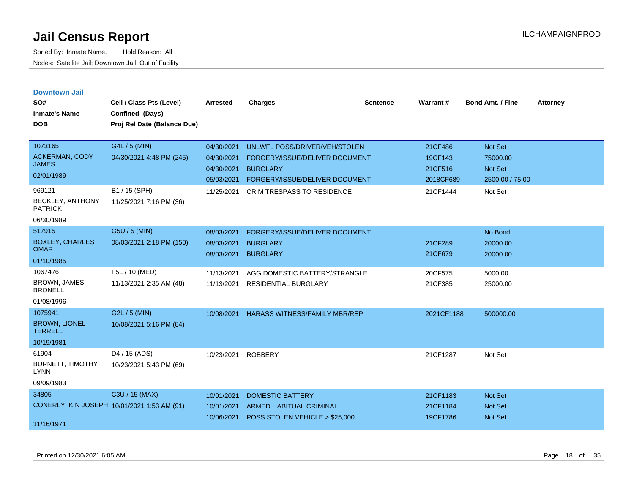| <b>Downtown Jail</b><br>SO#<br><b>Inmate's Name</b><br><b>DOB</b>                            | Cell / Class Pts (Level)<br>Confined (Days)<br>Proj Rel Date (Balance Due)            | <b>Arrested</b>                                                    | <b>Charges</b>                                                                                                                                            | <b>Sentence</b> | Warrant#                                               | <b>Bond Amt. / Fine</b>                                      | <b>Attorney</b> |
|----------------------------------------------------------------------------------------------|---------------------------------------------------------------------------------------|--------------------------------------------------------------------|-----------------------------------------------------------------------------------------------------------------------------------------------------------|-----------------|--------------------------------------------------------|--------------------------------------------------------------|-----------------|
| 1073165<br><b>ACKERMAN, CODY</b><br><b>JAMES</b><br>02/01/1989<br>969121<br>BECKLEY, ANTHONY | G4L / 5 (MIN)<br>04/30/2021 4:48 PM (245)<br>B1 / 15 (SPH)<br>11/25/2021 7:16 PM (36) | 04/30/2021<br>04/30/2021<br>04/30/2021<br>05/03/2021<br>11/25/2021 | UNLWFL POSS/DRIVER/VEH/STOLEN<br>FORGERY/ISSUE/DELIVER DOCUMENT<br><b>BURGLARY</b><br>FORGERY/ISSUE/DELIVER DOCUMENT<br><b>CRIM TRESPASS TO RESIDENCE</b> |                 | 21CF486<br>19CF143<br>21CF516<br>2018CF689<br>21CF1444 | Not Set<br>75000.00<br>Not Set<br>2500.00 / 75.00<br>Not Set |                 |
| <b>PATRICK</b><br>06/30/1989                                                                 |                                                                                       |                                                                    |                                                                                                                                                           |                 |                                                        |                                                              |                 |
| 517915<br><b>BOXLEY, CHARLES</b><br><b>OMAR</b><br>01/10/1985                                | G5U / 5 (MIN)<br>08/03/2021 2:18 PM (150)                                             | 08/03/2021<br>08/03/2021<br>08/03/2021                             | FORGERY/ISSUE/DELIVER DOCUMENT<br><b>BURGLARY</b><br><b>BURGLARY</b>                                                                                      |                 | 21CF289<br>21CF679                                     | No Bond<br>20000.00<br>20000.00                              |                 |
| 1067476<br><b>BROWN, JAMES</b><br><b>BRONELL</b><br>01/08/1996                               | F5L / 10 (MED)<br>11/13/2021 2:35 AM (48)                                             | 11/13/2021<br>11/13/2021                                           | AGG DOMESTIC BATTERY/STRANGLE<br><b>RESIDENTIAL BURGLARY</b>                                                                                              |                 | 20CF575<br>21CF385                                     | 5000.00<br>25000.00                                          |                 |
| 1075941<br><b>BROWN, LIONEL</b><br><b>TERRELL</b><br>10/19/1981                              | G2L / 5 (MIN)<br>10/08/2021 5:16 PM (84)                                              | 10/08/2021                                                         | <b>HARASS WITNESS/FAMILY MBR/REP</b>                                                                                                                      |                 | 2021CF1188                                             | 500000.00                                                    |                 |
| 61904<br><b>BURNETT, TIMOTHY</b><br><b>LYNN</b><br>09/09/1983                                | D4 / 15 (ADS)<br>10/23/2021 5:43 PM (69)                                              | 10/23/2021                                                         | <b>ROBBERY</b>                                                                                                                                            |                 | 21CF1287                                               | Not Set                                                      |                 |
| 34805<br>CONERLY, KIN JOSEPH 10/01/2021 1:53 AM (91)<br>11/16/1971                           | C3U / 15 (MAX)                                                                        | 10/01/2021<br>10/01/2021<br>10/06/2021                             | <b>DOMESTIC BATTERY</b><br><b>ARMED HABITUAL CRIMINAL</b><br>POSS STOLEN VEHICLE > \$25,000                                                               |                 | 21CF1183<br>21CF1184<br>19CF1786                       | <b>Not Set</b><br><b>Not Set</b><br><b>Not Set</b>           |                 |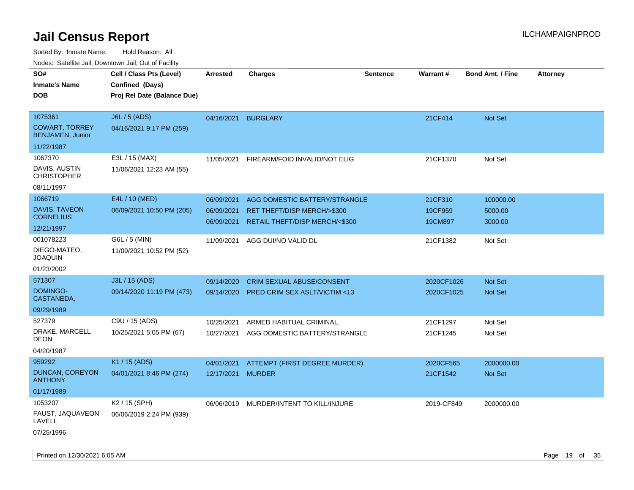| ivouss. Saleline Jali, Downtown Jali, Out of Facility                      |                                                                            |                                        |                                                                                                |                 |                               |                                  |                 |
|----------------------------------------------------------------------------|----------------------------------------------------------------------------|----------------------------------------|------------------------------------------------------------------------------------------------|-----------------|-------------------------------|----------------------------------|-----------------|
| SO#<br><b>Inmate's Name</b><br><b>DOB</b>                                  | Cell / Class Pts (Level)<br>Confined (Days)<br>Proj Rel Date (Balance Due) | <b>Arrested</b>                        | <b>Charges</b>                                                                                 | <b>Sentence</b> | <b>Warrant#</b>               | <b>Bond Amt. / Fine</b>          | <b>Attorney</b> |
| 1075361<br><b>COWART, TORREY</b><br><b>BENJAMEN, Junior</b>                | J6L / 5 (ADS)<br>04/16/2021 9:17 PM (259)                                  | 04/16/2021                             | <b>BURGLARY</b>                                                                                |                 | 21CF414                       | Not Set                          |                 |
| 11/22/1987<br>1067370<br>DAVIS, AUSTIN<br><b>CHRISTOPHER</b><br>08/11/1997 | E3L / 15 (MAX)<br>11/06/2021 12:23 AM (55)                                 | 11/05/2021                             | FIREARM/FOID INVALID/NOT ELIG                                                                  |                 | 21CF1370                      | Not Set                          |                 |
| 1066719<br><b>DAVIS, TAVEON</b><br><b>CORNELIUS</b><br>12/21/1997          | E4L / 10 (MED)<br>06/09/2021 10:50 PM (205)                                | 06/09/2021<br>06/09/2021<br>06/09/2021 | AGG DOMESTIC BATTERY/STRANGLE<br>RET THEFT/DISP MERCH/>\$300<br>RETAIL THEFT/DISP MERCH/<\$300 |                 | 21CF310<br>19CF959<br>19CM897 | 100000.00<br>5000.00<br>3000.00  |                 |
| 001078223<br>DIEGO-MATEO,<br><b>JOAQUIN</b><br>01/23/2002                  | G6L / 5 (MIN)<br>11/09/2021 10:52 PM (52)                                  | 11/09/2021                             | AGG DUI/NO VALID DL                                                                            |                 | 21CF1382                      | Not Set                          |                 |
| 571307<br><b>DOMINGO-</b><br>CASTANEDA,<br>09/29/1989                      | J3L / 15 (ADS)<br>09/14/2020 11:19 PM (473)                                | 09/14/2020<br>09/14/2020               | <b>CRIM SEXUAL ABUSE/CONSENT</b><br>PRED CRIM SEX ASLT/VICTIM <13                              |                 | 2020CF1026<br>2020CF1025      | <b>Not Set</b><br><b>Not Set</b> |                 |
| 527379<br>DRAKE, MARCELL<br>DEON<br>04/20/1987                             | C9U / 15 (ADS)<br>10/25/2021 5:05 PM (67)                                  | 10/25/2021<br>10/27/2021               | ARMED HABITUAL CRIMINAL<br>AGG DOMESTIC BATTERY/STRANGLE                                       |                 | 21CF1297<br>21CF1245          | Not Set<br>Not Set               |                 |
| 959292<br>DUNCAN, COREYON<br><b>ANTHONY</b><br>01/17/1989                  | K1 / 15 (ADS)<br>04/01/2021 8:46 PM (274)                                  | 04/01/2021<br>12/17/2021               | ATTEMPT (FIRST DEGREE MURDER)<br><b>MURDER</b>                                                 |                 | 2020CF565<br>21CF1542         | 2000000.00<br>Not Set            |                 |
| 1053207<br>FAUST, JAQUAVEON<br>LAVELL<br>07/25/1996                        | K <sub>2</sub> / 15 (SPH)<br>06/06/2019 2:24 PM (939)                      | 06/06/2019                             | MURDER/INTENT TO KILL/INJURE                                                                   |                 | 2019-CF849                    | 2000000.00                       |                 |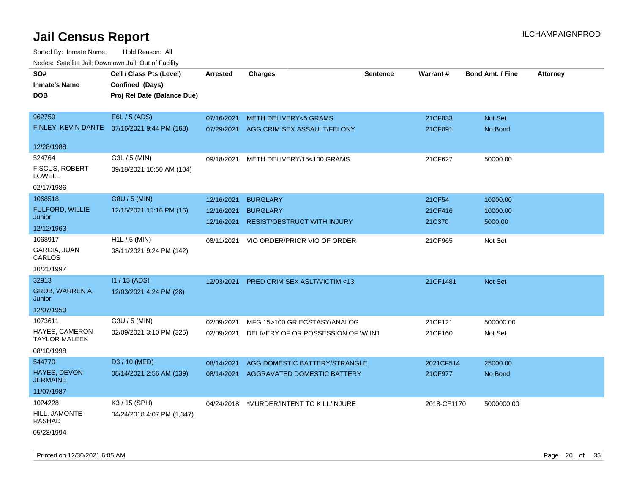| roaco. Calcinio dan, Domnomi dan, Cal or Fability |                                              |                 |                                          |                 |             |                         |                 |
|---------------------------------------------------|----------------------------------------------|-----------------|------------------------------------------|-----------------|-------------|-------------------------|-----------------|
| SO#                                               | Cell / Class Pts (Level)                     | <b>Arrested</b> | <b>Charges</b>                           | <b>Sentence</b> | Warrant#    | <b>Bond Amt. / Fine</b> | <b>Attorney</b> |
| <b>Inmate's Name</b>                              | Confined (Days)                              |                 |                                          |                 |             |                         |                 |
| <b>DOB</b>                                        | Proj Rel Date (Balance Due)                  |                 |                                          |                 |             |                         |                 |
|                                                   |                                              |                 |                                          |                 |             |                         |                 |
| 962759                                            | E6L / 5 (ADS)                                | 07/16/2021      | <b>METH DELIVERY&lt;5 GRAMS</b>          |                 | 21CF833     | Not Set                 |                 |
|                                                   | FINLEY, KEVIN DANTE 07/16/2021 9:44 PM (168) | 07/29/2021      | AGG CRIM SEX ASSAULT/FELONY              |                 | 21CF891     | No Bond                 |                 |
|                                                   |                                              |                 |                                          |                 |             |                         |                 |
| 12/28/1988                                        |                                              |                 |                                          |                 |             |                         |                 |
| 524764                                            | G3L / 5 (MIN)                                | 09/18/2021      | METH DELIVERY/15<100 GRAMS               |                 | 21CF627     | 50000.00                |                 |
| FISCUS, ROBERT<br><b>LOWELL</b>                   | 09/18/2021 10:50 AM (104)                    |                 |                                          |                 |             |                         |                 |
| 02/17/1986                                        |                                              |                 |                                          |                 |             |                         |                 |
| 1068518                                           | G8U / 5 (MIN)                                | 12/16/2021      | <b>BURGLARY</b>                          |                 | 21CF54      | 10000.00                |                 |
| FULFORD, WILLIE                                   | 12/15/2021 11:16 PM (16)                     | 12/16/2021      | <b>BURGLARY</b>                          |                 | 21CF416     | 10000.00                |                 |
| Junior                                            |                                              | 12/16/2021      | <b>RESIST/OBSTRUCT WITH INJURY</b>       |                 | 21C370      | 5000.00                 |                 |
| 12/12/1963                                        |                                              |                 |                                          |                 |             |                         |                 |
| 1068917                                           | $H1L / 5$ (MIN)                              | 08/11/2021      | VIO ORDER/PRIOR VIO OF ORDER             |                 | 21CF965     | Not Set                 |                 |
| <b>GARCIA, JUAN</b><br>CARLOS                     | 08/11/2021 9:24 PM (142)                     |                 |                                          |                 |             |                         |                 |
| 10/21/1997                                        |                                              |                 |                                          |                 |             |                         |                 |
| 32913                                             | $11/15$ (ADS)                                | 12/03/2021      | <b>PRED CRIM SEX ASLT/VICTIM &lt;13</b>  |                 | 21CF1481    | Not Set                 |                 |
| GROB, WARREN A,<br>Junior                         | 12/03/2021 4:24 PM (28)                      |                 |                                          |                 |             |                         |                 |
| 12/07/1950                                        |                                              |                 |                                          |                 |             |                         |                 |
| 1073611                                           | G3U / 5 (MIN)                                | 02/09/2021      | MFG 15>100 GR ECSTASY/ANALOG             |                 | 21CF121     | 500000.00               |                 |
| <b>HAYES, CAMERON</b><br><b>TAYLOR MALEEK</b>     | 02/09/2021 3:10 PM (325)                     | 02/09/2021      | DELIVERY OF OR POSSESSION OF W/ INT      |                 | 21CF160     | Not Set                 |                 |
| 08/10/1998                                        |                                              |                 |                                          |                 |             |                         |                 |
| 544770                                            | D <sub>3</sub> / 10 (MED)                    | 08/14/2021      | AGG DOMESTIC BATTERY/STRANGLE            |                 | 2021CF514   | 25000.00                |                 |
| HAYES, DEVON<br><b>JERMAINE</b>                   | 08/14/2021 2:56 AM (139)                     | 08/14/2021      | AGGRAVATED DOMESTIC BATTERY              |                 | 21CF977     | No Bond                 |                 |
| 11/07/1987                                        |                                              |                 |                                          |                 |             |                         |                 |
| 1024228                                           | K3 / 15 (SPH)                                |                 | 04/24/2018 *MURDER/INTENT TO KILL/INJURE |                 | 2018-CF1170 | 5000000.00              |                 |
| HILL, JAMONTE<br>RASHAD                           | 04/24/2018 4:07 PM (1,347)                   |                 |                                          |                 |             |                         |                 |
| 05/23/1994                                        |                                              |                 |                                          |                 |             |                         |                 |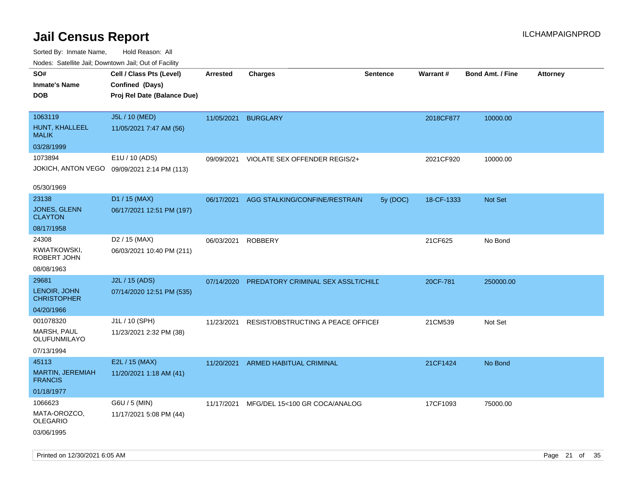Sorted By: Inmate Name, Hold Reason: All Nodes: Satellite Jail; Downtown Jail; Out of Facility

| Nudes. Satellite Jali, Downtown Jali, Out of Facility |                                             |                 |                                    |                 |            |                         |                 |
|-------------------------------------------------------|---------------------------------------------|-----------------|------------------------------------|-----------------|------------|-------------------------|-----------------|
| SO#                                                   | Cell / Class Pts (Level)                    | <b>Arrested</b> | <b>Charges</b>                     | <b>Sentence</b> | Warrant#   | <b>Bond Amt. / Fine</b> | <b>Attorney</b> |
| Inmate's Name                                         | Confined (Days)                             |                 |                                    |                 |            |                         |                 |
| <b>DOB</b>                                            | Proj Rel Date (Balance Due)                 |                 |                                    |                 |            |                         |                 |
|                                                       |                                             |                 |                                    |                 |            |                         |                 |
| 1063119                                               | J5L / 10 (MED)                              | 11/05/2021      | <b>BURGLARY</b>                    |                 | 2018CF877  | 10000.00                |                 |
| HUNT, KHALLEEL<br>MALIK                               | 11/05/2021 7:47 AM (56)                     |                 |                                    |                 |            |                         |                 |
| 03/28/1999                                            |                                             |                 |                                    |                 |            |                         |                 |
| 1073894                                               | E1U / 10 (ADS)                              | 09/09/2021      | VIOLATE SEX OFFENDER REGIS/2+      |                 | 2021CF920  | 10000.00                |                 |
|                                                       | JOKICH, ANTON VEGO 09/09/2021 2:14 PM (113) |                 |                                    |                 |            |                         |                 |
| 05/30/1969                                            |                                             |                 |                                    |                 |            |                         |                 |
| 23138                                                 | D1 / 15 (MAX)                               | 06/17/2021      | AGG STALKING/CONFINE/RESTRAIN      | 5y (DOC)        | 18-CF-1333 | <b>Not Set</b>          |                 |
| JONES, GLENN<br>CLAYTON                               | 06/17/2021 12:51 PM (197)                   |                 |                                    |                 |            |                         |                 |
| 08/17/1958                                            |                                             |                 |                                    |                 |            |                         |                 |
| 24308                                                 | D <sub>2</sub> / 15 (MAX)                   | 06/03/2021      | <b>ROBBERY</b>                     |                 | 21CF625    | No Bond                 |                 |
| KWIATKOWSKI,<br>ROBERT JOHN                           | 06/03/2021 10:40 PM (211)                   |                 |                                    |                 |            |                         |                 |
| 08/08/1963                                            |                                             |                 |                                    |                 |            |                         |                 |
| 29681                                                 | J2L / 15 (ADS)                              | 07/14/2020      | PREDATORY CRIMINAL SEX ASSLT/CHILD |                 | 20CF-781   | 250000.00               |                 |
| LENOIR, JOHN<br><b>CHRISTOPHER</b>                    | 07/14/2020 12:51 PM (535)                   |                 |                                    |                 |            |                         |                 |
| 04/20/1966                                            |                                             |                 |                                    |                 |            |                         |                 |
| 001078320                                             | J1L / 10 (SPH)                              | 11/23/2021      | RESIST/OBSTRUCTING A PEACE OFFICEF |                 | 21CM539    | Not Set                 |                 |
| MARSH, PAUL<br>OLUFUNMILAYO                           | 11/23/2021 2:32 PM (38)                     |                 |                                    |                 |            |                         |                 |
| 07/13/1994                                            |                                             |                 |                                    |                 |            |                         |                 |
| 45113                                                 | E2L / 15 (MAX)                              | 11/20/2021      | ARMED HABITUAL CRIMINAL            |                 | 21CF1424   | No Bond                 |                 |
| MARTIN, JEREMIAH<br><b>FRANCIS</b>                    | 11/20/2021 1:18 AM (41)                     |                 |                                    |                 |            |                         |                 |
| 01/18/1977                                            |                                             |                 |                                    |                 |            |                         |                 |
| 1066623                                               | G6U / 5 (MIN)                               | 11/17/2021      | MFG/DEL 15<100 GR COCA/ANALOG      |                 | 17CF1093   | 75000.00                |                 |
| MATA-OROZCO.<br>OLEGARIO                              | 11/17/2021 5:08 PM (44)                     |                 |                                    |                 |            |                         |                 |
| 03/06/1995                                            |                                             |                 |                                    |                 |            |                         |                 |

Printed on 12/30/2021 6:05 AM **Page 21 of 35**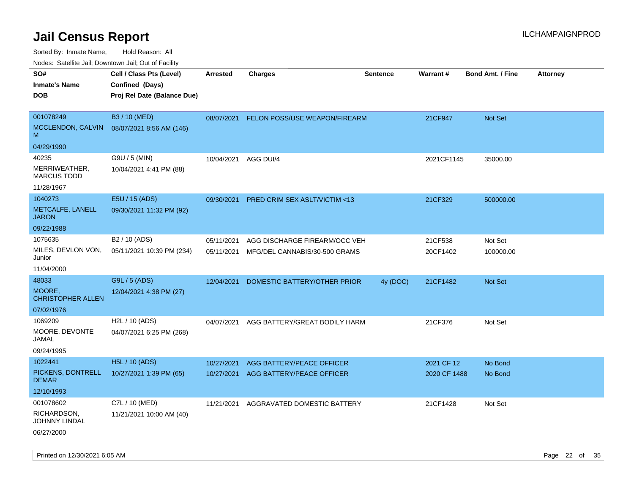Sorted By: Inmate Name, Hold Reason: All

Nodes: Satellite Jail; Downtown Jail; Out of Facility

| SO#                                 | Cell / Class Pts (Level)    | <b>Arrested</b> | <b>Charges</b>                   | <b>Sentence</b> | Warrant#     | <b>Bond Amt. / Fine</b> | <b>Attorney</b> |
|-------------------------------------|-----------------------------|-----------------|----------------------------------|-----------------|--------------|-------------------------|-----------------|
| <b>Inmate's Name</b>                | Confined (Days)             |                 |                                  |                 |              |                         |                 |
| <b>DOB</b>                          | Proj Rel Date (Balance Due) |                 |                                  |                 |              |                         |                 |
|                                     |                             |                 |                                  |                 |              |                         |                 |
| 001078249                           | B3 / 10 (MED)               | 08/07/2021      | FELON POSS/USE WEAPON/FIREARM    |                 | 21CF947      | <b>Not Set</b>          |                 |
| MCCLENDON, CALVIN<br>M              | 08/07/2021 8:56 AM (146)    |                 |                                  |                 |              |                         |                 |
| 04/29/1990                          |                             |                 |                                  |                 |              |                         |                 |
| 40235                               | G9U / 5 (MIN)               | 10/04/2021      | AGG DUI/4                        |                 | 2021CF1145   | 35000.00                |                 |
| MERRIWEATHER,<br><b>MARCUS TODD</b> | 10/04/2021 4:41 PM (88)     |                 |                                  |                 |              |                         |                 |
| 11/28/1967                          |                             |                 |                                  |                 |              |                         |                 |
| 1040273                             | E5U / 15 (ADS)              | 09/30/2021      | PRED CRIM SEX ASLT/VICTIM <13    |                 | 21CF329      | 500000.00               |                 |
| METCALFE, LANELL<br><b>JARON</b>    | 09/30/2021 11:32 PM (92)    |                 |                                  |                 |              |                         |                 |
| 09/22/1988                          |                             |                 |                                  |                 |              |                         |                 |
| 1075635                             | B <sub>2</sub> / 10 (ADS)   | 05/11/2021      | AGG DISCHARGE FIREARM/OCC VEH    |                 | 21CF538      | Not Set                 |                 |
| MILES, DEVLON VON,<br>Junior        | 05/11/2021 10:39 PM (234)   | 05/11/2021      | MFG/DEL CANNABIS/30-500 GRAMS    |                 | 20CF1402     | 100000.00               |                 |
| 11/04/2000                          |                             |                 |                                  |                 |              |                         |                 |
| 48033                               | G9L / 5 (ADS)               | 12/04/2021      | DOMESTIC BATTERY/OTHER PRIOR     | 4y (DOC)        | 21CF1482     | Not Set                 |                 |
| MOORE,<br><b>CHRISTOPHER ALLEN</b>  | 12/04/2021 4:38 PM (27)     |                 |                                  |                 |              |                         |                 |
| 07/02/1976                          |                             |                 |                                  |                 |              |                         |                 |
| 1069209                             | H2L / 10 (ADS)              | 04/07/2021      | AGG BATTERY/GREAT BODILY HARM    |                 | 21CF376      | Not Set                 |                 |
| MOORE, DEVONTE<br><b>JAMAL</b>      | 04/07/2021 6:25 PM (268)    |                 |                                  |                 |              |                         |                 |
| 09/24/1995                          |                             |                 |                                  |                 |              |                         |                 |
| 1022441                             | <b>H5L / 10 (ADS)</b>       | 10/27/2021      | <b>AGG BATTERY/PEACE OFFICER</b> |                 | 2021 CF 12   | No Bond                 |                 |
| PICKENS, DONTRELL<br><b>DEMAR</b>   | 10/27/2021 1:39 PM (65)     | 10/27/2021      | AGG BATTERY/PEACE OFFICER        |                 | 2020 CF 1488 | No Bond                 |                 |
| 12/10/1993                          |                             |                 |                                  |                 |              |                         |                 |
| 001078602                           | C7L / 10 (MED)              | 11/21/2021      | AGGRAVATED DOMESTIC BATTERY      |                 | 21CF1428     | Not Set                 |                 |
| RICHARDSON,<br><b>JOHNNY LINDAL</b> | 11/21/2021 10:00 AM (40)    |                 |                                  |                 |              |                         |                 |
| 06/27/2000                          |                             |                 |                                  |                 |              |                         |                 |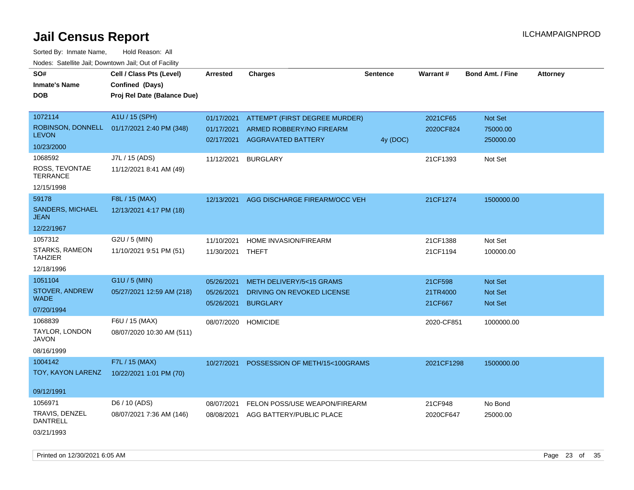Sorted By: Inmate Name, Hold Reason: All Nodes: Satellite Jail; Downtown Jail; Out of Facility

| SO#                                    | Cell / Class Pts (Level)    | <b>Arrested</b>  | <b>Charges</b>                       | <b>Sentence</b> | <b>Warrant#</b> | <b>Bond Amt. / Fine</b> | <b>Attorney</b> |
|----------------------------------------|-----------------------------|------------------|--------------------------------------|-----------------|-----------------|-------------------------|-----------------|
| <b>Inmate's Name</b>                   | Confined (Days)             |                  |                                      |                 |                 |                         |                 |
| <b>DOB</b>                             | Proj Rel Date (Balance Due) |                  |                                      |                 |                 |                         |                 |
|                                        |                             |                  |                                      |                 |                 |                         |                 |
| 1072114                                | A1U / 15 (SPH)              | 01/17/2021       | <b>ATTEMPT (FIRST DEGREE MURDER)</b> |                 | 2021CF65        | Not Set                 |                 |
| ROBINSON, DONNELL                      | 01/17/2021 2:40 PM (348)    | 01/17/2021       | ARMED ROBBERY/NO FIREARM             |                 | 2020CF824       | 75000.00                |                 |
| <b>LEVON</b>                           |                             |                  | 02/17/2021 AGGRAVATED BATTERY        | 4y (DOC)        |                 | 250000.00               |                 |
| 10/23/2000                             |                             |                  |                                      |                 |                 |                         |                 |
| 1068592                                | J7L / 15 (ADS)              | 11/12/2021       | <b>BURGLARY</b>                      |                 | 21CF1393        | Not Set                 |                 |
| ROSS, TEVONTAE<br><b>TERRANCE</b>      | 11/12/2021 8:41 AM (49)     |                  |                                      |                 |                 |                         |                 |
| 12/15/1998                             |                             |                  |                                      |                 |                 |                         |                 |
| 59178                                  | F8L / 15 (MAX)              | 12/13/2021       | AGG DISCHARGE FIREARM/OCC VEH        |                 | 21CF1274        | 1500000.00              |                 |
| <b>SANDERS, MICHAEL</b><br><b>JEAN</b> | 12/13/2021 4:17 PM (18)     |                  |                                      |                 |                 |                         |                 |
| 12/22/1967                             |                             |                  |                                      |                 |                 |                         |                 |
| 1057312                                | G2U / 5 (MIN)               | 11/10/2021       | HOME INVASION/FIREARM                |                 | 21CF1388        | Not Set                 |                 |
| STARKS, RAMEON                         | 11/10/2021 9:51 PM (51)     | 11/30/2021 THEFT |                                      |                 | 21CF1194        | 100000.00               |                 |
| <b>TAHZIER</b>                         |                             |                  |                                      |                 |                 |                         |                 |
| 12/18/1996                             |                             |                  |                                      |                 |                 |                         |                 |
| 1051104                                | G1U / 5 (MIN)               | 05/26/2021       | METH DELIVERY/5<15 GRAMS             |                 | 21CF598         | <b>Not Set</b>          |                 |
| <b>STOVER, ANDREW</b>                  | 05/27/2021 12:59 AM (218)   | 05/26/2021       | DRIVING ON REVOKED LICENSE           |                 | 21TR4000        | Not Set                 |                 |
| <b>WADE</b>                            |                             | 05/26/2021       | <b>BURGLARY</b>                      |                 | 21CF667         | Not Set                 |                 |
| 07/20/1994                             |                             |                  |                                      |                 |                 |                         |                 |
| 1068839                                | F6U / 15 (MAX)              |                  | 08/07/2020 HOMICIDE                  |                 | 2020-CF851      | 1000000.00              |                 |
| TAYLOR, LONDON<br><b>JAVON</b>         | 08/07/2020 10:30 AM (511)   |                  |                                      |                 |                 |                         |                 |
| 08/16/1999                             |                             |                  |                                      |                 |                 |                         |                 |
| 1004142                                | F7L / 15 (MAX)              | 10/27/2021       | POSSESSION OF METH/15<100GRAMS       |                 | 2021CF1298      | 1500000.00              |                 |
| TOY, KAYON LARENZ                      | 10/22/2021 1:01 PM (70)     |                  |                                      |                 |                 |                         |                 |
|                                        |                             |                  |                                      |                 |                 |                         |                 |
| 09/12/1991                             |                             |                  |                                      |                 |                 |                         |                 |
| 1056971                                | D6 / 10 (ADS)               | 08/07/2021       | FELON POSS/USE WEAPON/FIREARM        |                 | 21CF948         | No Bond                 |                 |
| TRAVIS, DENZEL<br><b>DANTRELL</b>      | 08/07/2021 7:36 AM (146)    | 08/08/2021       | AGG BATTERY/PUBLIC PLACE             |                 | 2020CF647       | 25000.00                |                 |
| 03/21/1993                             |                             |                  |                                      |                 |                 |                         |                 |

Printed on 12/30/2021 6:05 AM Page 23 of 35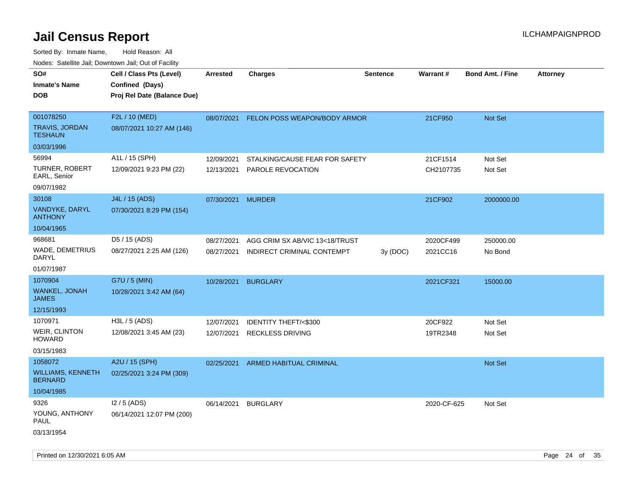Sorted By: Inmate Name, Hold Reason: All Nodes: Satellite Jail; Downtown Jail; Out of Facility

| roaco. Catolino dall, Downtown dall, Out of Fability |                             |                   |                                 |                 |                 |                         |                 |
|------------------------------------------------------|-----------------------------|-------------------|---------------------------------|-----------------|-----------------|-------------------------|-----------------|
| SO#                                                  | Cell / Class Pts (Level)    | Arrested          | Charges                         | <b>Sentence</b> | <b>Warrant#</b> | <b>Bond Amt. / Fine</b> | <b>Attorney</b> |
| <b>Inmate's Name</b>                                 | Confined (Days)             |                   |                                 |                 |                 |                         |                 |
| <b>DOB</b>                                           | Proj Rel Date (Balance Due) |                   |                                 |                 |                 |                         |                 |
|                                                      |                             |                   |                                 |                 |                 |                         |                 |
| 001078250                                            | F2L / 10 (MED)              | 08/07/2021        | FELON POSS WEAPON/BODY ARMOR    |                 | 21CF950         | Not Set                 |                 |
| TRAVIS, JORDAN<br><b>TESHAUN</b>                     | 08/07/2021 10:27 AM (146)   |                   |                                 |                 |                 |                         |                 |
| 03/03/1996                                           |                             |                   |                                 |                 |                 |                         |                 |
| 56994                                                | A1L / 15 (SPH)              | 12/09/2021        | STALKING/CAUSE FEAR FOR SAFETY  |                 | 21CF1514        | Not Set                 |                 |
| TURNER, ROBERT<br>EARL, Senior                       | 12/09/2021 9:23 PM (22)     | 12/13/2021        | <b>PAROLE REVOCATION</b>        |                 | CH2107735       | Not Set                 |                 |
| 09/07/1982                                           |                             |                   |                                 |                 |                 |                         |                 |
| 30108                                                | J4L / 15 (ADS)              | 07/30/2021 MURDER |                                 |                 | 21CF902         | 2000000.00              |                 |
| VANDYKE, DARYL<br><b>ANTHONY</b>                     | 07/30/2021 8:29 PM (154)    |                   |                                 |                 |                 |                         |                 |
| 10/04/1965                                           |                             |                   |                                 |                 |                 |                         |                 |
| 968681                                               | D5 / 15 (ADS)               | 08/27/2021        | AGG CRIM SX AB/VIC 13<18/TRUST  |                 | 2020CF499       | 250000.00               |                 |
| WADE, DEMETRIUS<br>DARYL                             | 08/27/2021 2:25 AM (126)    | 08/27/2021        | INDIRECT CRIMINAL CONTEMPT      | 3y(DOC)         | 2021CC16        | No Bond                 |                 |
| 01/07/1987                                           |                             |                   |                                 |                 |                 |                         |                 |
| 1070904                                              | G7U / 5 (MIN)               | 10/28/2021        | <b>BURGLARY</b>                 |                 | 2021CF321       | 15000.00                |                 |
| <b>WANKEL, JONAH</b><br><b>JAMES</b>                 | 10/28/2021 3:42 AM (64)     |                   |                                 |                 |                 |                         |                 |
| 12/15/1993                                           |                             |                   |                                 |                 |                 |                         |                 |
| 1070971                                              | H3L / 5 (ADS)               | 12/07/2021        | <b>IDENTITY THEFT/&lt;\$300</b> |                 | 20CF922         | Not Set                 |                 |
| <b>WEIR, CLINTON</b><br>HOWARD                       | 12/08/2021 3:45 AM (23)     | 12/07/2021        | <b>RECKLESS DRIVING</b>         |                 | 19TR2348        | Not Set                 |                 |
| 03/15/1983                                           |                             |                   |                                 |                 |                 |                         |                 |
| 1058072                                              | A2U / 15 (SPH)              | 02/25/2021        | ARMED HABITUAL CRIMINAL         |                 |                 | Not Set                 |                 |
| <b>WILLIAMS, KENNETH</b><br><b>BERNARD</b>           | 02/25/2021 3:24 PM (309)    |                   |                                 |                 |                 |                         |                 |
| 10/04/1985                                           |                             |                   |                                 |                 |                 |                         |                 |
| 9326                                                 | $12/5$ (ADS)                | 06/14/2021        | <b>BURGLARY</b>                 |                 | 2020-CF-625     | Not Set                 |                 |
| YOUNG, ANTHONY<br>PAUL                               | 06/14/2021 12:07 PM (200)   |                   |                                 |                 |                 |                         |                 |
| 03/13/1954                                           |                             |                   |                                 |                 |                 |                         |                 |

Printed on 12/30/2021 6:05 AM **Page 24 of 35**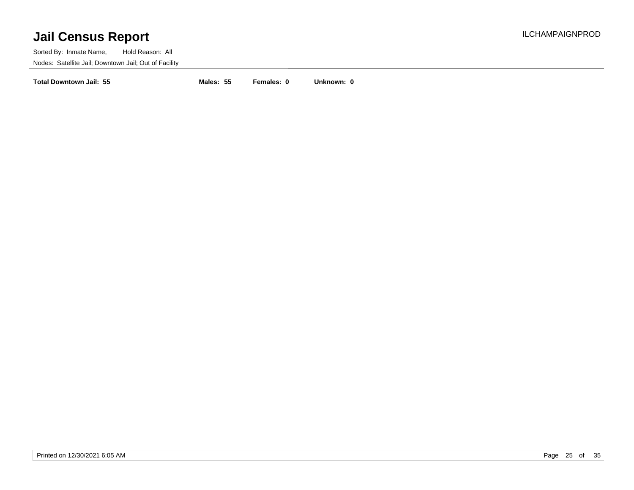Sorted By: Inmate Name, Hold Reason: All Nodes: Satellite Jail; Downtown Jail; Out of Facility

**Total Downtown Jail: 55 Males: 55 Females: 0 Unknown: 0**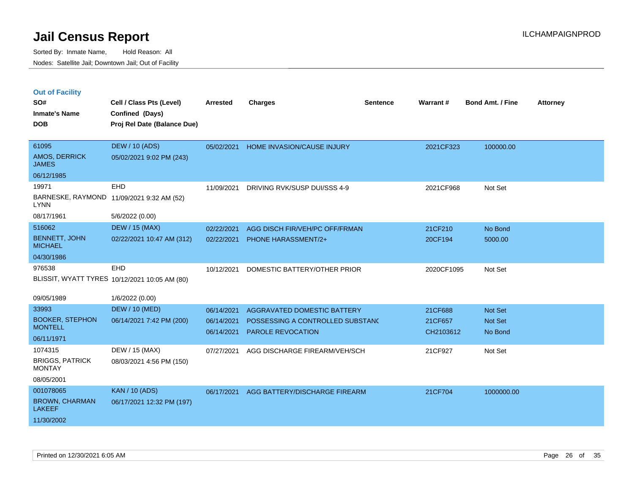|  | <b>Out of Facility</b> |  |
|--|------------------------|--|

| SO#<br><b>Inmate's Name</b><br><b>DOB</b>                                     | Cell / Class Pts (Level)<br>Confined (Days)<br>Proj Rel Date (Balance Due) | <b>Arrested</b>                        | <b>Charges</b>                                                                              | <b>Sentence</b> | <b>Warrant#</b>                 | Bond Amt. / Fine                     | <b>Attorney</b> |
|-------------------------------------------------------------------------------|----------------------------------------------------------------------------|----------------------------------------|---------------------------------------------------------------------------------------------|-----------------|---------------------------------|--------------------------------------|-----------------|
| 61095<br>AMOS, DERRICK<br><b>JAMES</b>                                        | <b>DEW / 10 (ADS)</b><br>05/02/2021 9:02 PM (243)                          | 05/02/2021                             | HOME INVASION/CAUSE INJURY                                                                  |                 | 2021CF323                       | 100000.00                            |                 |
| 06/12/1985<br>19971<br><b>LYNN</b><br>08/17/1961                              | EHD<br>BARNESKE, RAYMOND 11/09/2021 9:32 AM (52)<br>5/6/2022 (0.00)        | 11/09/2021                             | DRIVING RVK/SUSP DUI/SSS 4-9                                                                |                 | 2021CF968                       | Not Set                              |                 |
| 516062<br><b>BENNETT, JOHN</b><br><b>MICHAEL</b><br>04/30/1986                | <b>DEW / 15 (MAX)</b><br>02/22/2021 10:47 AM (312)                         | 02/22/2021<br>02/22/2021               | AGG DISCH FIR/VEH/PC OFF/FRMAN<br><b>PHONE HARASSMENT/2+</b>                                |                 | 21CF210<br>20CF194              | No Bond<br>5000.00                   |                 |
| 976538                                                                        | EHD<br>BLISSIT, WYATT TYRES 10/12/2021 10:05 AM (80)                       | 10/12/2021                             | DOMESTIC BATTERY/OTHER PRIOR                                                                |                 | 2020CF1095                      | Not Set                              |                 |
| 09/05/1989<br>33993<br><b>BOOKER, STEPHON</b><br><b>MONTELL</b><br>06/11/1971 | 1/6/2022 (0.00)<br><b>DEW / 10 (MED)</b><br>06/14/2021 7:42 PM (200)       | 06/14/2021<br>06/14/2021<br>06/14/2021 | AGGRAVATED DOMESTIC BATTERY<br>POSSESSING A CONTROLLED SUBSTANC<br><b>PAROLE REVOCATION</b> |                 | 21CF688<br>21CF657<br>CH2103612 | <b>Not Set</b><br>Not Set<br>No Bond |                 |
| 1074315<br><b>BRIGGS, PATRICK</b><br><b>MONTAY</b><br>08/05/2001              | DEW / 15 (MAX)<br>08/03/2021 4:56 PM (150)                                 | 07/27/2021                             | AGG DISCHARGE FIREARM/VEH/SCH                                                               |                 | 21CF927                         | Not Set                              |                 |
| 001078065<br><b>BROWN, CHARMAN</b><br><b>LAKEEF</b><br>11/30/2002             | <b>KAN / 10 (ADS)</b><br>06/17/2021 12:32 PM (197)                         | 06/17/2021                             | AGG BATTERY/DISCHARGE FIREARM                                                               |                 | 21CF704                         | 1000000.00                           |                 |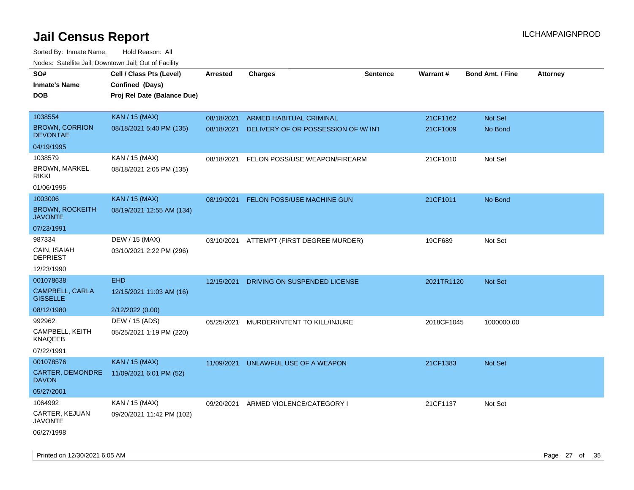| ivouss. Satellite Jall, Downtown Jall, Out of Facility |                             |            |                                    |          |            |                         |                 |
|--------------------------------------------------------|-----------------------------|------------|------------------------------------|----------|------------|-------------------------|-----------------|
| SO#                                                    | Cell / Class Pts (Level)    | Arrested   | <b>Charges</b>                     | Sentence | Warrant#   | <b>Bond Amt. / Fine</b> | <b>Attorney</b> |
| <b>Inmate's Name</b>                                   | Confined (Days)             |            |                                    |          |            |                         |                 |
| <b>DOB</b>                                             | Proj Rel Date (Balance Due) |            |                                    |          |            |                         |                 |
|                                                        |                             |            |                                    |          |            |                         |                 |
| 1038554                                                | <b>KAN / 15 (MAX)</b>       | 08/18/2021 | ARMED HABITUAL CRIMINAL            |          | 21CF1162   | Not Set                 |                 |
| <b>BROWN, CORRION</b><br><b>DEVONTAE</b>               | 08/18/2021 5:40 PM (135)    | 08/18/2021 | DELIVERY OF OR POSSESSION OF W/INT |          | 21CF1009   | No Bond                 |                 |
| 04/19/1995                                             |                             |            |                                    |          |            |                         |                 |
| 1038579                                                | KAN / 15 (MAX)              | 08/18/2021 | FELON POSS/USE WEAPON/FIREARM      |          | 21CF1010   | Not Set                 |                 |
| <b>BROWN, MARKEL</b><br><b>RIKKI</b>                   | 08/18/2021 2:05 PM (135)    |            |                                    |          |            |                         |                 |
| 01/06/1995                                             |                             |            |                                    |          |            |                         |                 |
| 1003006                                                | <b>KAN / 15 (MAX)</b>       | 08/19/2021 | FELON POSS/USE MACHINE GUN         |          | 21CF1011   | No Bond                 |                 |
| <b>BROWN, ROCKEITH</b><br><b>JAVONTE</b>               | 08/19/2021 12:55 AM (134)   |            |                                    |          |            |                         |                 |
| 07/23/1991                                             |                             |            |                                    |          |            |                         |                 |
| 987334                                                 | DEW / 15 (MAX)              | 03/10/2021 | ATTEMPT (FIRST DEGREE MURDER)      |          | 19CF689    | Not Set                 |                 |
| CAIN, ISAIAH<br><b>DEPRIEST</b>                        | 03/10/2021 2:22 PM (296)    |            |                                    |          |            |                         |                 |
| 12/23/1990                                             |                             |            |                                    |          |            |                         |                 |
| 001078638                                              | <b>EHD</b>                  | 12/15/2021 | DRIVING ON SUSPENDED LICENSE       |          | 2021TR1120 | Not Set                 |                 |
| CAMPBELL, CARLA<br><b>GISSELLE</b>                     | 12/15/2021 11:03 AM (16)    |            |                                    |          |            |                         |                 |
| 08/12/1980                                             | 2/12/2022 (0.00)            |            |                                    |          |            |                         |                 |
| 992962                                                 | DEW / 15 (ADS)              | 05/25/2021 | MURDER/INTENT TO KILL/INJURE       |          | 2018CF1045 | 1000000.00              |                 |
| CAMPBELL, KEITH<br>KNAQEEB                             | 05/25/2021 1:19 PM (220)    |            |                                    |          |            |                         |                 |
| 07/22/1991                                             |                             |            |                                    |          |            |                         |                 |
| 001078576                                              | <b>KAN / 15 (MAX)</b>       | 11/09/2021 | UNLAWFUL USE OF A WEAPON           |          | 21CF1383   | <b>Not Set</b>          |                 |
| CARTER, DEMONDRE<br><b>DAVON</b>                       | 11/09/2021 6:01 PM (52)     |            |                                    |          |            |                         |                 |
| 05/27/2001                                             |                             |            |                                    |          |            |                         |                 |
| 1064992                                                | KAN / 15 (MAX)              | 09/20/2021 | ARMED VIOLENCE/CATEGORY I          |          | 21CF1137   | Not Set                 |                 |
| <b>CARTER, KEJUAN</b><br><b>JAVONTE</b>                | 09/20/2021 11:42 PM (102)   |            |                                    |          |            |                         |                 |
| 06/27/1998                                             |                             |            |                                    |          |            |                         |                 |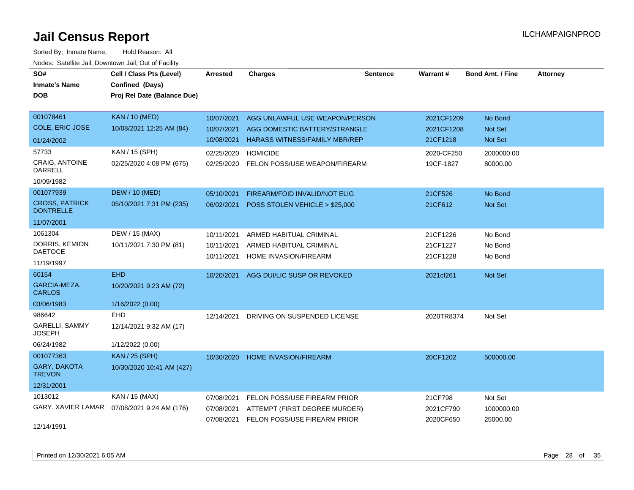| SO#                                       | Cell / Class Pts (Level)    | <b>Arrested</b> | <b>Charges</b>                       | <b>Sentence</b> | <b>Warrant#</b> | <b>Bond Amt. / Fine</b> | <b>Attorney</b> |
|-------------------------------------------|-----------------------------|-----------------|--------------------------------------|-----------------|-----------------|-------------------------|-----------------|
| <b>Inmate's Name</b>                      | Confined (Days)             |                 |                                      |                 |                 |                         |                 |
| <b>DOB</b>                                | Proj Rel Date (Balance Due) |                 |                                      |                 |                 |                         |                 |
|                                           |                             |                 |                                      |                 |                 |                         |                 |
| 001078461                                 | <b>KAN / 10 (MED)</b>       | 10/07/2021      | AGG UNLAWFUL USE WEAPON/PERSON       |                 | 2021CF1209      | No Bond                 |                 |
| <b>COLE, ERIC JOSE</b>                    | 10/08/2021 12:25 AM (84)    | 10/07/2021      | AGG DOMESTIC BATTERY/STRANGLE        |                 | 2021CF1208      | Not Set                 |                 |
| 01/24/2002                                |                             | 10/08/2021      | <b>HARASS WITNESS/FAMILY MBR/REP</b> |                 | 21CF1218        | Not Set                 |                 |
| 57733                                     | KAN / 15 (SPH)              | 02/25/2020      | <b>HOMICIDE</b>                      |                 | 2020-CF250      | 2000000.00              |                 |
| <b>CRAIG, ANTOINE</b><br><b>DARRELL</b>   | 02/25/2020 4:08 PM (675)    | 02/25/2020      | FELON POSS/USE WEAPON/FIREARM        |                 | 19CF-1827       | 80000.00                |                 |
| 10/09/1982                                |                             |                 |                                      |                 |                 |                         |                 |
| 001077939                                 | <b>DEW / 10 (MED)</b>       | 05/10/2021      | FIREARM/FOID INVALID/NOT ELIG        |                 | 21CF526         | No Bond                 |                 |
| <b>CROSS, PATRICK</b><br><b>DONTRELLE</b> | 05/10/2021 7:31 PM (235)    | 06/02/2021      | POSS STOLEN VEHICLE > \$25,000       |                 | 21CF612         | Not Set                 |                 |
| 11/07/2001                                |                             |                 |                                      |                 |                 |                         |                 |
| 1061304                                   | DEW / 15 (MAX)              | 10/11/2021      | ARMED HABITUAL CRIMINAL              |                 | 21CF1226        | No Bond                 |                 |
| DORRIS, KEMION                            | 10/11/2021 7:30 PM (81)     | 10/11/2021      | ARMED HABITUAL CRIMINAL              |                 | 21CF1227        | No Bond                 |                 |
| <b>DAETOCE</b>                            |                             | 10/11/2021      | HOME INVASION/FIREARM                |                 | 21CF1228        | No Bond                 |                 |
| 11/19/1997                                |                             |                 |                                      |                 |                 |                         |                 |
| 60154                                     | <b>EHD</b>                  | 10/20/2021      | AGG DUI/LIC SUSP OR REVOKED          |                 | 2021cf261       | Not Set                 |                 |
| GARCIA-MEZA,<br><b>CARLOS</b>             | 10/20/2021 9:23 AM (72)     |                 |                                      |                 |                 |                         |                 |
| 03/06/1983                                | 1/16/2022 (0.00)            |                 |                                      |                 |                 |                         |                 |
| 986642                                    | <b>EHD</b>                  | 12/14/2021      | DRIVING ON SUSPENDED LICENSE         |                 | 2020TR8374      | Not Set                 |                 |
| <b>GARELLI, SAMMY</b><br><b>JOSEPH</b>    | 12/14/2021 9:32 AM (17)     |                 |                                      |                 |                 |                         |                 |
| 06/24/1982                                | 1/12/2022 (0.00)            |                 |                                      |                 |                 |                         |                 |
| 001077363                                 | <b>KAN / 25 (SPH)</b>       | 10/30/2020      | <b>HOME INVASION/FIREARM</b>         |                 | 20CF1202        | 500000.00               |                 |
| GARY, DAKOTA<br><b>TREVON</b>             | 10/30/2020 10:41 AM (427)   |                 |                                      |                 |                 |                         |                 |
| 12/31/2001                                |                             |                 |                                      |                 |                 |                         |                 |
| 1013012                                   | KAN / 15 (MAX)              | 07/08/2021      | FELON POSS/USE FIREARM PRIOR         |                 | 21CF798         | Not Set                 |                 |
| GARY, XAVIER LAMAR                        | 07/08/2021 9:24 AM (176)    | 07/08/2021      | ATTEMPT (FIRST DEGREE MURDER)        |                 | 2021CF790       | 1000000.00              |                 |
| 12/14/1991                                |                             | 07/08/2021      | FELON POSS/USE FIREARM PRIOR         |                 | 2020CF650       | 25000.00                |                 |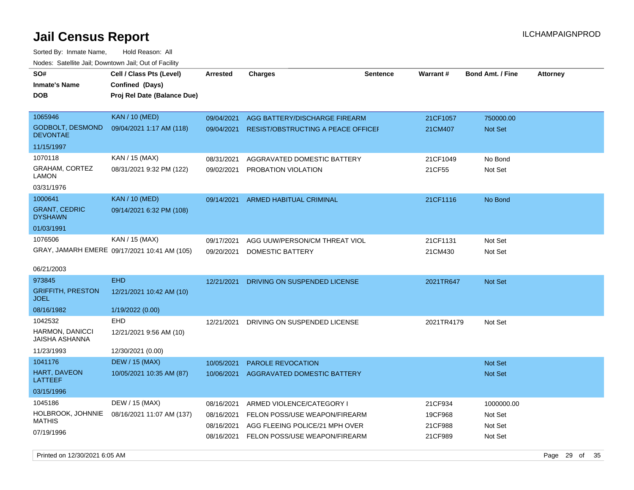Sorted By: Inmate Name, Hold Reason: All Nodes: Satellite Jail; Downtown Jail; Out of Facility

| roaco. Calcinio dan, Downtown dan, Out or Fability |                                                                            |            |                                    |                 |                 |                         |                 |
|----------------------------------------------------|----------------------------------------------------------------------------|------------|------------------------------------|-----------------|-----------------|-------------------------|-----------------|
| SO#<br><b>Inmate's Name</b><br><b>DOB</b>          | Cell / Class Pts (Level)<br>Confined (Days)<br>Proj Rel Date (Balance Due) | Arrested   | <b>Charges</b>                     | <b>Sentence</b> | <b>Warrant#</b> | <b>Bond Amt. / Fine</b> | <b>Attorney</b> |
| 1065946                                            | <b>KAN / 10 (MED)</b>                                                      | 09/04/2021 | AGG BATTERY/DISCHARGE FIREARM      |                 | 21CF1057        | 750000.00               |                 |
| <b>GODBOLT, DESMOND</b><br><b>DEVONTAE</b>         | 09/04/2021 1:17 AM (118)                                                   | 09/04/2021 | RESIST/OBSTRUCTING A PEACE OFFICEF |                 | 21CM407         | <b>Not Set</b>          |                 |
| 11/15/1997                                         |                                                                            |            |                                    |                 |                 |                         |                 |
| 1070118                                            | KAN / 15 (MAX)                                                             | 08/31/2021 | AGGRAVATED DOMESTIC BATTERY        |                 | 21CF1049        | No Bond                 |                 |
| GRAHAM, CORTEZ<br>LAMON                            | 08/31/2021 9:32 PM (122)                                                   | 09/02/2021 | PROBATION VIOLATION                |                 | 21CF55          | Not Set                 |                 |
| 03/31/1976                                         |                                                                            |            |                                    |                 |                 |                         |                 |
| 1000641                                            | <b>KAN / 10 (MED)</b>                                                      | 09/14/2021 | <b>ARMED HABITUAL CRIMINAL</b>     |                 | 21CF1116        | No Bond                 |                 |
| <b>GRANT, CEDRIC</b><br><b>DYSHAWN</b>             | 09/14/2021 6:32 PM (108)                                                   |            |                                    |                 |                 |                         |                 |
| 01/03/1991                                         |                                                                            |            |                                    |                 |                 |                         |                 |
| 1076506                                            | KAN / 15 (MAX)                                                             | 09/17/2021 | AGG UUW/PERSON/CM THREAT VIOL      |                 | 21CF1131        | Not Set                 |                 |
|                                                    | GRAY, JAMARH EMERE 09/17/2021 10:41 AM (105)                               | 09/20/2021 | DOMESTIC BATTERY                   |                 | 21CM430         | Not Set                 |                 |
| 06/21/2003                                         |                                                                            |            |                                    |                 |                 |                         |                 |
| 973845                                             | <b>EHD</b>                                                                 | 12/21/2021 | DRIVING ON SUSPENDED LICENSE       |                 | 2021TR647       | Not Set                 |                 |
| <b>GRIFFITH, PRESTON</b><br><b>JOEL</b>            | 12/21/2021 10:42 AM (10)                                                   |            |                                    |                 |                 |                         |                 |
| 08/16/1982                                         | 1/19/2022 (0.00)                                                           |            |                                    |                 |                 |                         |                 |
| 1042532                                            | EHD                                                                        | 12/21/2021 | DRIVING ON SUSPENDED LICENSE       |                 | 2021TR4179      | Not Set                 |                 |
| <b>HARMON, DANICCI</b><br>JAISHA ASHANNA           | 12/21/2021 9:56 AM (10)                                                    |            |                                    |                 |                 |                         |                 |
| 11/23/1993                                         | 12/30/2021 (0.00)                                                          |            |                                    |                 |                 |                         |                 |
| 1041176                                            | <b>DEW / 15 (MAX)</b>                                                      | 10/05/2021 | <b>PAROLE REVOCATION</b>           |                 |                 | <b>Not Set</b>          |                 |
| <b>HART, DAVEON</b><br>LATTEEF                     | 10/05/2021 10:35 AM (87)                                                   | 10/06/2021 | AGGRAVATED DOMESTIC BATTERY        |                 |                 | <b>Not Set</b>          |                 |
| 03/15/1996                                         |                                                                            |            |                                    |                 |                 |                         |                 |
| 1045186                                            | DEW / 15 (MAX)                                                             | 08/16/2021 | ARMED VIOLENCE/CATEGORY I          |                 | 21CF934         | 1000000.00              |                 |
| HOLBROOK, JOHNNIE                                  | 08/16/2021 11:07 AM (137)                                                  | 08/16/2021 | FELON POSS/USE WEAPON/FIREARM      |                 | 19CF968         | Not Set                 |                 |
| MATHIS                                             |                                                                            | 08/16/2021 | AGG FLEEING POLICE/21 MPH OVER     |                 | 21CF988         | Not Set                 |                 |
| 07/19/1996                                         |                                                                            | 08/16/2021 | FELON POSS/USE WEAPON/FIREARM      |                 | 21CF989         | Not Set                 |                 |

Printed on  $12/30/2021$  6:05 AM Page 29 of 35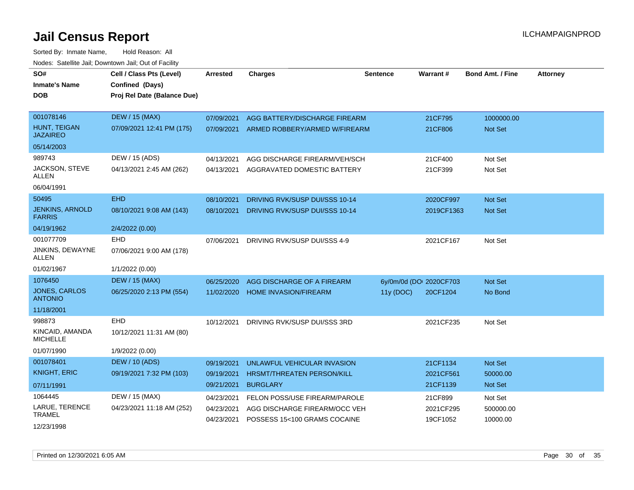| SO#                                     | Cell / Class Pts (Level)    | Arrested   | <b>Charges</b>                    | <b>Sentence</b>         | <b>Warrant#</b> | <b>Bond Amt. / Fine</b> | <b>Attorney</b> |
|-----------------------------------------|-----------------------------|------------|-----------------------------------|-------------------------|-----------------|-------------------------|-----------------|
| <b>Inmate's Name</b>                    | Confined (Days)             |            |                                   |                         |                 |                         |                 |
| <b>DOB</b>                              | Proj Rel Date (Balance Due) |            |                                   |                         |                 |                         |                 |
|                                         |                             |            |                                   |                         |                 |                         |                 |
| 001078146                               | <b>DEW / 15 (MAX)</b>       | 07/09/2021 | AGG BATTERY/DISCHARGE FIREARM     |                         | 21CF795         | 1000000.00              |                 |
| HUNT, TEIGAN<br><b>JAZAIREO</b>         | 07/09/2021 12:41 PM (175)   | 07/09/2021 | ARMED ROBBERY/ARMED W/FIREARM     |                         | 21CF806         | Not Set                 |                 |
| 05/14/2003                              |                             |            |                                   |                         |                 |                         |                 |
| 989743                                  | DEW / 15 (ADS)              | 04/13/2021 | AGG DISCHARGE FIREARM/VEH/SCH     |                         | 21CF400         | Not Set                 |                 |
| JACKSON, STEVE<br><b>ALLEN</b>          | 04/13/2021 2:45 AM (262)    | 04/13/2021 | AGGRAVATED DOMESTIC BATTERY       |                         | 21CF399         | Not Set                 |                 |
| 06/04/1991                              |                             |            |                                   |                         |                 |                         |                 |
| 50495                                   | <b>EHD</b>                  | 08/10/2021 | DRIVING RVK/SUSP DUI/SSS 10-14    |                         | 2020CF997       | <b>Not Set</b>          |                 |
| <b>JENKINS, ARNOLD</b><br><b>FARRIS</b> | 08/10/2021 9:08 AM (143)    | 08/10/2021 | DRIVING RVK/SUSP DUI/SSS 10-14    |                         | 2019CF1363      | <b>Not Set</b>          |                 |
| 04/19/1962                              | 2/4/2022 (0.00)             |            |                                   |                         |                 |                         |                 |
| 001077709                               | <b>EHD</b>                  | 07/06/2021 | DRIVING RVK/SUSP DUI/SSS 4-9      |                         | 2021CF167       | Not Set                 |                 |
| JINKINS, DEWAYNE<br>ALLEN               | 07/06/2021 9:00 AM (178)    |            |                                   |                         |                 |                         |                 |
| 01/02/1967                              | 1/1/2022 (0.00)             |            |                                   |                         |                 |                         |                 |
| 1076450                                 | <b>DEW / 15 (MAX)</b>       | 06/25/2020 | AGG DISCHARGE OF A FIREARM        | 6y/0m/0d (DOI 2020CF703 |                 | Not Set                 |                 |
| JONES, CARLOS<br><b>ANTONIO</b>         | 06/25/2020 2:13 PM (554)    | 11/02/2020 | <b>HOME INVASION/FIREARM</b>      | 11y(DOC)                | 20CF1204        | No Bond                 |                 |
| 11/18/2001                              |                             |            |                                   |                         |                 |                         |                 |
| 998873                                  | <b>EHD</b>                  | 10/12/2021 | DRIVING RVK/SUSP DUI/SSS 3RD      |                         | 2021CF235       | Not Set                 |                 |
| KINCAID, AMANDA<br><b>MICHELLE</b>      | 10/12/2021 11:31 AM (80)    |            |                                   |                         |                 |                         |                 |
| 01/07/1990                              | 1/9/2022 (0.00)             |            |                                   |                         |                 |                         |                 |
| 001078401                               | <b>DEW / 10 (ADS)</b>       | 09/19/2021 | UNLAWFUL VEHICULAR INVASION       |                         | 21CF1134        | <b>Not Set</b>          |                 |
| <b>KNIGHT, ERIC</b>                     | 09/19/2021 7:32 PM (103)    | 09/19/2021 | <b>HRSMT/THREATEN PERSON/KILL</b> |                         | 2021CF561       | 50000.00                |                 |
| 07/11/1991                              |                             | 09/21/2021 | <b>BURGLARY</b>                   |                         | 21CF1139        | <b>Not Set</b>          |                 |
| 1064445                                 | DEW / 15 (MAX)              | 04/23/2021 | FELON POSS/USE FIREARM/PAROLE     |                         | 21CF899         | Not Set                 |                 |
| LARUE, TERENCE<br>TRAMEL                | 04/23/2021 11:18 AM (252)   | 04/23/2021 | AGG DISCHARGE FIREARM/OCC VEH     |                         | 2021CF295       | 500000.00               |                 |
| 12/23/1998                              |                             | 04/23/2021 | POSSESS 15<100 GRAMS COCAINE      |                         | 19CF1052        | 10000.00                |                 |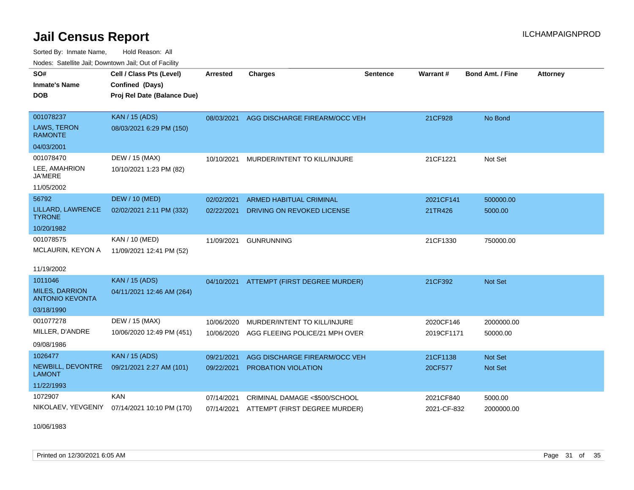Sorted By: Inmate Name, Hold Reason: All Nodes: Satellite Jail; Downtown Jail; Out of Facility

| SO#<br><b>Inmate's Name</b><br><b>DOB</b>                  | Cell / Class Pts (Level)<br>Confined (Days)<br>Proj Rel Date (Balance Due) | Arrested   | <b>Charges</b>                           | <b>Sentence</b> | Warrant #   | <b>Bond Amt. / Fine</b> | <b>Attorney</b> |
|------------------------------------------------------------|----------------------------------------------------------------------------|------------|------------------------------------------|-----------------|-------------|-------------------------|-----------------|
| 001078237<br>LAWS, TERON<br><b>RAMONTE</b><br>04/03/2001   | <b>KAN</b> / 15 (ADS)<br>08/03/2021 6:29 PM (150)                          | 08/03/2021 | AGG DISCHARGE FIREARM/OCC VEH            |                 | 21CF928     | No Bond                 |                 |
| 001078470<br>LEE, AMAHRION<br><b>JA'MERE</b><br>11/05/2002 | DEW / 15 (MAX)<br>10/10/2021 1:23 PM (82)                                  | 10/10/2021 | MURDER/INTENT TO KILL/INJURE             |                 | 21CF1221    | Not Set                 |                 |
| 56792                                                      | <b>DEW / 10 (MED)</b>                                                      | 02/02/2021 | ARMED HABITUAL CRIMINAL                  |                 | 2021CF141   | 500000.00               |                 |
| LILLARD, LAWRENCE<br><b>TYRONE</b>                         | 02/02/2021 2:11 PM (332)                                                   | 02/22/2021 | DRIVING ON REVOKED LICENSE               |                 | 21TR426     | 5000.00                 |                 |
| 10/20/1982                                                 |                                                                            |            |                                          |                 |             |                         |                 |
| 001078575                                                  | KAN / 10 (MED)                                                             | 11/09/2021 | <b>GUNRUNNING</b>                        |                 | 21CF1330    | 750000.00               |                 |
| MCLAURIN, KEYON A<br>11/19/2002                            | 11/09/2021 12:41 PM (52)                                                   |            |                                          |                 |             |                         |                 |
| 1011046                                                    | <b>KAN / 15 (ADS)</b>                                                      |            | 04/10/2021 ATTEMPT (FIRST DEGREE MURDER) |                 | 21CF392     | Not Set                 |                 |
| <b>MILES, DARRION</b><br><b>ANTONIO KEVONTA</b>            | 04/11/2021 12:46 AM (264)                                                  |            |                                          |                 |             |                         |                 |
| 03/18/1990                                                 |                                                                            |            |                                          |                 |             |                         |                 |
| 001077278                                                  | DEW / 15 (MAX)                                                             | 10/06/2020 | MURDER/INTENT TO KILL/INJURE             |                 | 2020CF146   | 2000000.00              |                 |
| MILLER, D'ANDRE<br>09/08/1986                              | 10/06/2020 12:49 PM (451)                                                  | 10/06/2020 | AGG FLEEING POLICE/21 MPH OVER           |                 | 2019CF1171  | 50000.00                |                 |
| 1026477                                                    | <b>KAN / 15 (ADS)</b>                                                      | 09/21/2021 | AGG DISCHARGE FIREARM/OCC VEH            |                 | 21CF1138    | Not Set                 |                 |
| NEWBILL, DEVONTRE<br><b>LAMONT</b>                         | 09/21/2021 2:27 AM (101)                                                   | 09/22/2021 | PROBATION VIOLATION                      |                 | 20CF577     | Not Set                 |                 |
| 11/22/1993                                                 |                                                                            |            |                                          |                 |             |                         |                 |
| 1072907                                                    | <b>KAN</b>                                                                 | 07/14/2021 | CRIMINAL DAMAGE <\$500/SCHOOL            |                 | 2021CF840   | 5000.00                 |                 |
| NIKOLAEV, YEVGENIY                                         | 07/14/2021 10:10 PM (170)                                                  | 07/14/2021 | ATTEMPT (FIRST DEGREE MURDER)            |                 | 2021-CF-832 | 2000000.00              |                 |

10/06/1983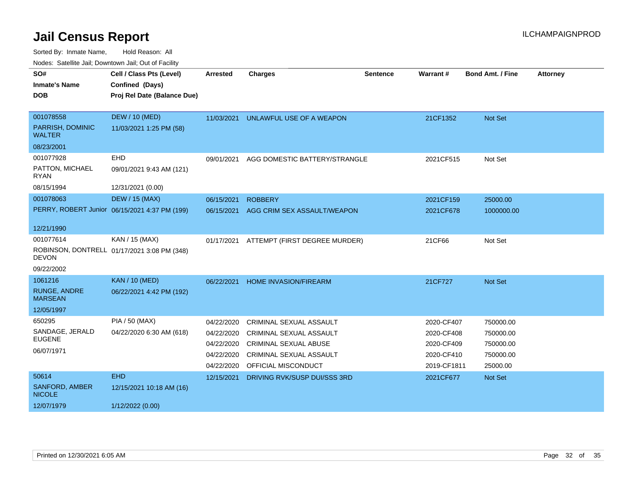| SO#                                   | Cell / Class Pts (Level)                      | <b>Arrested</b> | <b>Charges</b>                 | <b>Sentence</b> | <b>Warrant#</b> | <b>Bond Amt. / Fine</b> | <b>Attorney</b> |
|---------------------------------------|-----------------------------------------------|-----------------|--------------------------------|-----------------|-----------------|-------------------------|-----------------|
| <b>Inmate's Name</b>                  | Confined (Days)                               |                 |                                |                 |                 |                         |                 |
| <b>DOB</b>                            | Proj Rel Date (Balance Due)                   |                 |                                |                 |                 |                         |                 |
|                                       |                                               |                 |                                |                 |                 |                         |                 |
| 001078558                             | <b>DEW / 10 (MED)</b>                         | 11/03/2021      | UNLAWFUL USE OF A WEAPON       |                 | 21CF1352        | Not Set                 |                 |
| PARRISH, DOMINIC<br><b>WALTER</b>     | 11/03/2021 1:25 PM (58)                       |                 |                                |                 |                 |                         |                 |
| 08/23/2001                            |                                               |                 |                                |                 |                 |                         |                 |
| 001077928                             | EHD                                           | 09/01/2021      | AGG DOMESTIC BATTERY/STRANGLE  |                 | 2021CF515       | Not Set                 |                 |
| PATTON, MICHAEL<br>RYAN               | 09/01/2021 9:43 AM (121)                      |                 |                                |                 |                 |                         |                 |
| 08/15/1994                            | 12/31/2021 (0.00)                             |                 |                                |                 |                 |                         |                 |
| 001078063                             | <b>DEW / 15 (MAX)</b>                         | 06/15/2021      | <b>ROBBERY</b>                 |                 | 2021CF159       | 25000.00                |                 |
|                                       | PERRY, ROBERT Junior 06/15/2021 4:37 PM (199) | 06/15/2021      | AGG CRIM SEX ASSAULT/WEAPON    |                 | 2021CF678       | 1000000.00              |                 |
|                                       |                                               |                 |                                |                 |                 |                         |                 |
| 12/21/1990                            |                                               |                 |                                |                 |                 |                         |                 |
| 001077614                             | KAN / 15 (MAX)                                | 01/17/2021      | ATTEMPT (FIRST DEGREE MURDER)  |                 | 21CF66          | Not Set                 |                 |
| <b>DEVON</b>                          | ROBINSON, DONTRELL 01/17/2021 3:08 PM (348)   |                 |                                |                 |                 |                         |                 |
| 09/22/2002                            |                                               |                 |                                |                 |                 |                         |                 |
| 1061216                               | <b>KAN / 10 (MED)</b>                         | 06/22/2021      | <b>HOME INVASION/FIREARM</b>   |                 | 21CF727         | Not Set                 |                 |
| <b>RUNGE, ANDRE</b><br><b>MARSEAN</b> | 06/22/2021 4:42 PM (192)                      |                 |                                |                 |                 |                         |                 |
| 12/05/1997                            |                                               |                 |                                |                 |                 |                         |                 |
| 650295                                | PIA / 50 (MAX)                                | 04/22/2020      | <b>CRIMINAL SEXUAL ASSAULT</b> |                 | 2020-CF407      | 750000.00               |                 |
| SANDAGE, JERALD                       | 04/22/2020 6:30 AM (618)                      | 04/22/2020      | <b>CRIMINAL SEXUAL ASSAULT</b> |                 | 2020-CF408      | 750000.00               |                 |
| <b>EUGENE</b>                         |                                               | 04/22/2020      | <b>CRIMINAL SEXUAL ABUSE</b>   |                 | 2020-CF409      | 750000.00               |                 |
| 06/07/1971                            |                                               | 04/22/2020      | <b>CRIMINAL SEXUAL ASSAULT</b> |                 | 2020-CF410      | 750000.00               |                 |
|                                       |                                               | 04/22/2020      | OFFICIAL MISCONDUCT            |                 | 2019-CF1811     | 25000.00                |                 |
| 50614                                 | <b>EHD</b>                                    | 12/15/2021      | DRIVING RVK/SUSP DUI/SSS 3RD   |                 | 2021CF677       | Not Set                 |                 |
| SANFORD, AMBER<br><b>NICOLE</b>       | 12/15/2021 10:18 AM (16)                      |                 |                                |                 |                 |                         |                 |
| 12/07/1979                            | 1/12/2022 (0.00)                              |                 |                                |                 |                 |                         |                 |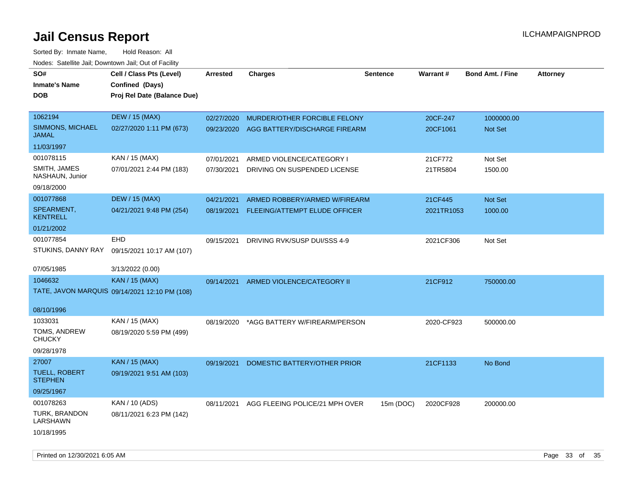| roaco. Catolino cali, Downtown cali, Out of Fability |                                               |            |                                          |                 |            |                         |                 |
|------------------------------------------------------|-----------------------------------------------|------------|------------------------------------------|-----------------|------------|-------------------------|-----------------|
| SO#                                                  | Cell / Class Pts (Level)                      | Arrested   | <b>Charges</b>                           | <b>Sentence</b> | Warrant#   | <b>Bond Amt. / Fine</b> | <b>Attorney</b> |
| <b>Inmate's Name</b>                                 | Confined (Days)                               |            |                                          |                 |            |                         |                 |
| <b>DOB</b>                                           | Proj Rel Date (Balance Due)                   |            |                                          |                 |            |                         |                 |
|                                                      |                                               |            |                                          |                 |            |                         |                 |
| 1062194                                              | <b>DEW / 15 (MAX)</b>                         | 02/27/2020 | MURDER/OTHER FORCIBLE FELONY             |                 | 20CF-247   | 1000000.00              |                 |
| SIMMONS, MICHAEL<br><b>JAMAL</b>                     | 02/27/2020 1:11 PM (673)                      |            | 09/23/2020 AGG BATTERY/DISCHARGE FIREARM |                 | 20CF1061   | Not Set                 |                 |
| 11/03/1997                                           |                                               |            |                                          |                 |            |                         |                 |
| 001078115                                            | KAN / 15 (MAX)                                | 07/01/2021 | ARMED VIOLENCE/CATEGORY I                |                 | 21CF772    | Not Set                 |                 |
| SMITH, JAMES<br>NASHAUN, Junior                      | 07/01/2021 2:44 PM (183)                      | 07/30/2021 | DRIVING ON SUSPENDED LICENSE             |                 | 21TR5804   | 1500.00                 |                 |
| 09/18/2000                                           |                                               |            |                                          |                 |            |                         |                 |
| 001077868                                            | <b>DEW / 15 (MAX)</b>                         | 04/21/2021 | ARMED ROBBERY/ARMED W/FIREARM            |                 | 21CF445    | Not Set                 |                 |
| SPEARMENT,<br><b>KENTRELL</b>                        | 04/21/2021 9:48 PM (254)                      | 08/19/2021 | FLEEING/ATTEMPT ELUDE OFFICER            |                 | 2021TR1053 | 1000.00                 |                 |
| 01/21/2002                                           |                                               |            |                                          |                 |            |                         |                 |
| 001077854                                            | EHD                                           | 09/15/2021 | DRIVING RVK/SUSP DUI/SSS 4-9             |                 | 2021CF306  | Not Set                 |                 |
| STUKINS, DANNY RAY                                   | 09/15/2021 10:17 AM (107)                     |            |                                          |                 |            |                         |                 |
|                                                      |                                               |            |                                          |                 |            |                         |                 |
| 07/05/1985                                           | 3/13/2022 (0.00)                              |            |                                          |                 |            |                         |                 |
| 1046632                                              | <b>KAN / 15 (MAX)</b>                         | 09/14/2021 | ARMED VIOLENCE/CATEGORY II               |                 | 21CF912    | 750000.00               |                 |
|                                                      | TATE, JAVON MARQUIS 09/14/2021 12:10 PM (108) |            |                                          |                 |            |                         |                 |
|                                                      |                                               |            |                                          |                 |            |                         |                 |
| 08/10/1996                                           |                                               |            |                                          |                 |            |                         |                 |
| 1033031                                              | KAN / 15 (MAX)                                | 08/19/2020 | *AGG BATTERY W/FIREARM/PERSON            |                 | 2020-CF923 | 500000.00               |                 |
| TOMS, ANDREW<br><b>CHUCKY</b>                        | 08/19/2020 5:59 PM (499)                      |            |                                          |                 |            |                         |                 |
| 09/28/1978                                           |                                               |            |                                          |                 |            |                         |                 |
| 27007                                                | <b>KAN / 15 (MAX)</b>                         | 09/19/2021 | DOMESTIC BATTERY/OTHER PRIOR             |                 | 21CF1133   | No Bond                 |                 |
| <b>TUELL, ROBERT</b>                                 | 09/19/2021 9:51 AM (103)                      |            |                                          |                 |            |                         |                 |
| <b>STEPHEN</b>                                       |                                               |            |                                          |                 |            |                         |                 |
| 09/25/1967                                           |                                               |            |                                          |                 |            |                         |                 |
| 001078263                                            | KAN / 10 (ADS)                                | 08/11/2021 | AGG FLEEING POLICE/21 MPH OVER           | 15m (DOC)       | 2020CF928  | 200000.00               |                 |
| <b>TURK, BRANDON</b><br>LARSHAWN                     | 08/11/2021 6:23 PM (142)                      |            |                                          |                 |            |                         |                 |
| 10/18/1995                                           |                                               |            |                                          |                 |            |                         |                 |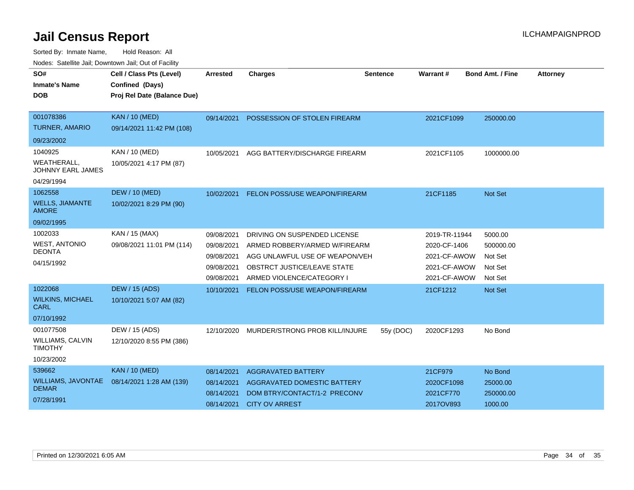| SO#<br><b>Inmate's Name</b><br><b>DOB</b>                               | Cell / Class Pts (Level)<br>Confined (Days)<br>Proj Rel Date (Balance Due) | <b>Arrested</b>                                                    | <b>Charges</b>                                                                                                                                              | <b>Sentence</b> | Warrant#                                                                      | <b>Bond Amt. / Fine</b>                               | <b>Attorney</b> |
|-------------------------------------------------------------------------|----------------------------------------------------------------------------|--------------------------------------------------------------------|-------------------------------------------------------------------------------------------------------------------------------------------------------------|-----------------|-------------------------------------------------------------------------------|-------------------------------------------------------|-----------------|
| 001078386<br><b>TURNER, AMARIO</b>                                      | <b>KAN / 10 (MED)</b><br>09/14/2021 11:42 PM (108)                         | 09/14/2021                                                         | POSSESSION OF STOLEN FIREARM                                                                                                                                |                 | 2021CF1099                                                                    | 250000.00                                             |                 |
| 09/23/2002                                                              |                                                                            |                                                                    |                                                                                                                                                             |                 |                                                                               |                                                       |                 |
| 1040925<br><b>WEATHERALL,</b><br><b>JOHNNY EARL JAMES</b><br>04/29/1994 | KAN / 10 (MED)<br>10/05/2021 4:17 PM (87)                                  | 10/05/2021                                                         | AGG BATTERY/DISCHARGE FIREARM                                                                                                                               |                 | 2021CF1105                                                                    | 1000000.00                                            |                 |
| 1062558<br><b>WELLS, JIAMANTE</b><br><b>AMORE</b><br>09/02/1995         | <b>DEW / 10 (MED)</b><br>10/02/2021 8:29 PM (90)                           | 10/02/2021                                                         | <b>FELON POSS/USE WEAPON/FIREARM</b>                                                                                                                        |                 | 21CF1185                                                                      | Not Set                                               |                 |
| 1002033<br><b>WEST, ANTONIO</b><br><b>DEONTA</b><br>04/15/1992          | KAN / 15 (MAX)<br>09/08/2021 11:01 PM (114)                                | 09/08/2021<br>09/08/2021<br>09/08/2021<br>09/08/2021<br>09/08/2021 | DRIVING ON SUSPENDED LICENSE<br>ARMED ROBBERY/ARMED W/FIREARM<br>AGG UNLAWFUL USE OF WEAPON/VEH<br>OBSTRCT JUSTICE/LEAVE STATE<br>ARMED VIOLENCE/CATEGORY I |                 | 2019-TR-11944<br>2020-CF-1406<br>2021-CF-AWOW<br>2021-CF-AWOW<br>2021-CF-AWOW | 5000.00<br>500000.00<br>Not Set<br>Not Set<br>Not Set |                 |
| 1022068<br><b>WILKINS, MICHAEL</b><br><b>CARL</b><br>07/10/1992         | <b>DEW / 15 (ADS)</b><br>10/10/2021 5:07 AM (82)                           | 10/10/2021                                                         | <b>FELON POSS/USE WEAPON/FIREARM</b>                                                                                                                        |                 | 21CF1212                                                                      | Not Set                                               |                 |
| 001077508<br><b>WILLIAMS, CALVIN</b><br><b>TIMOTHY</b><br>10/23/2002    | DEW / 15 (ADS)<br>12/10/2020 8:55 PM (386)                                 | 12/10/2020                                                         | MURDER/STRONG PROB KILL/INJURE                                                                                                                              | 55y (DOC)       | 2020CF1293                                                                    | No Bond                                               |                 |
| 539662<br>WILLIAMS, JAVONTAE<br><b>DEMAR</b><br>07/28/1991              | <b>KAN / 10 (MED)</b><br>08/14/2021 1:28 AM (139)                          | 08/14/2021<br>08/14/2021<br>08/14/2021<br>08/14/2021               | <b>AGGRAVATED BATTERY</b><br>AGGRAVATED DOMESTIC BATTERY<br>DOM BTRY/CONTACT/1-2 PRECONV<br><b>CITY OV ARREST</b>                                           |                 | 21CF979<br>2020CF1098<br>2021CF770<br>2017OV893                               | No Bond<br>25000.00<br>250000.00<br>1000.00           |                 |